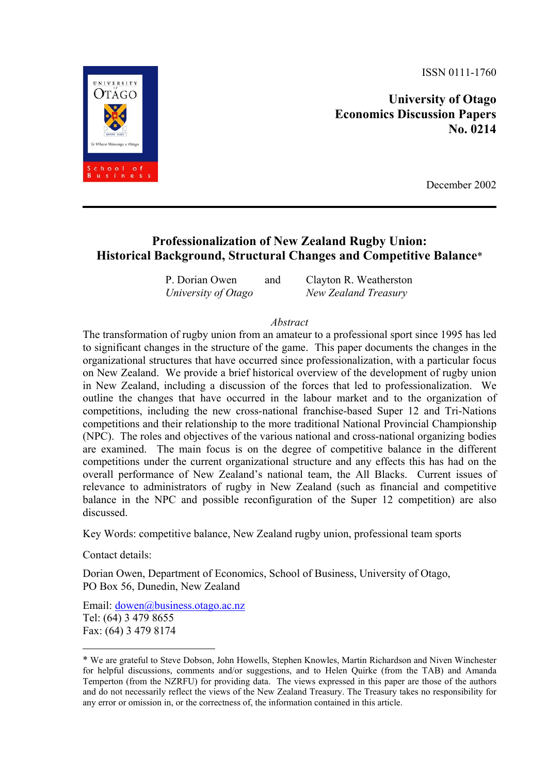ISSN 0111-1760

**University of Otago Economics Discussion Papers No. 0214** 

December 2002

# **Professionalization of New Zealand Rugby Union: Historical Background, Structural Changes and Competitive Balance**[\\*](#page-0-0)

| P. Dorian Owen      | and | Clayton R. Weatherston |
|---------------------|-----|------------------------|
| University of Otago |     | New Zealand Treasury   |

## *Abstract*

The transformation of rugby union from an amateur to a professional sport since 1995 has led to significant changes in the structure of the game. This paper documents the changes in the organizational structures that have occurred since professionalization, with a particular focus on New Zealand. We provide a brief historical overview of the development of rugby union in New Zealand, including a discussion of the forces that led to professionalization. We outline the changes that have occurred in the labour market and to the organization of competitions, including the new cross-national franchise-based Super 12 and Tri-Nations competitions and their relationship to the more traditional National Provincial Championship (NPC). The roles and objectives of the various national and cross-national organizing bodies are examined. The main focus is on the degree of competitive balance in the different competitions under the current organizational structure and any effects this has had on the overall performance of New Zealand's national team, the All Blacks. Current issues of relevance to administrators of rugby in New Zealand (such as financial and competitive balance in the NPC and possible reconfiguration of the Super 12 competition) are also discussed.

Key Words: competitive balance, New Zealand rugby union, professional team sports

Contact details:

 $\overline{a}$ 

Dorian Owen, Department of Economics, School of Business, University of Otago, PO Box 56, Dunedin, New Zealand

Email: [dowen@business.otago.ac.nz](mailto:qgrafton@uottawa.ca) Tel: (64) 3 479 8655 Fax: (64) 3 479 8174



<span id="page-0-0"></span><sup>\*</sup> We are grateful to Steve Dobson, John Howells, Stephen Knowles, Martin Richardson and Niven Winchester for helpful discussions, comments and/or suggestions, and to Helen Quirke (from the TAB) and Amanda Temperton (from the NZRFU) for providing data. The views expressed in this paper are those of the authors and do not necessarily reflect the views of the New Zealand Treasury. The Treasury takes no responsibility for any error or omission in, or the correctness of, the information contained in this article.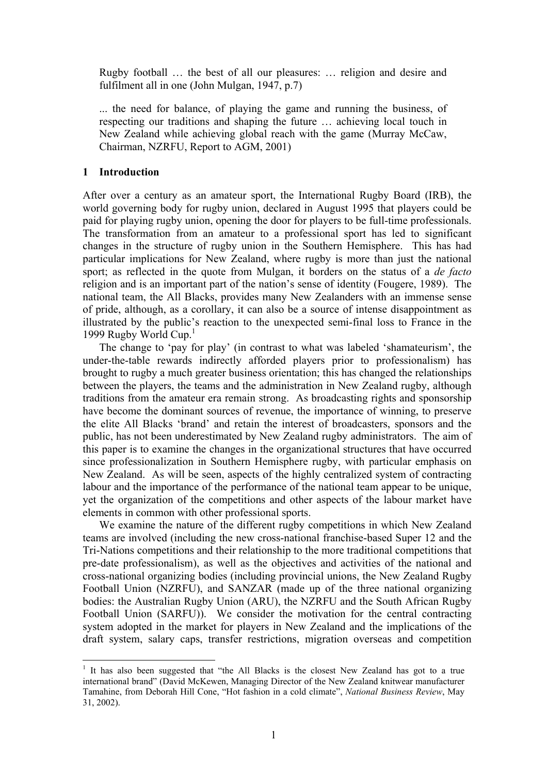Rugby football … the best of all our pleasures: … religion and desire and fulfilment all in one (John Mulgan, 1947, p.7)

... the need for balance, of playing the game and running the business, of respecting our traditions and shaping the future … achieving local touch in New Zealand while achieving global reach with the game (Murray McCaw, Chairman, NZRFU, Report to AGM, 2001)

#### **1 Introduction**

 $\overline{a}$ 

After over a century as an amateur sport, the International Rugby Board (IRB), the world governing body for rugby union, declared in August 1995 that players could be paid for playing rugby union, opening the door for players to be full-time professionals. The transformation from an amateur to a professional sport has led to significant changes in the structure of rugby union in the Southern Hemisphere. This has had particular implications for New Zealand, where rugby is more than just the national sport; as reflected in the quote from Mulgan, it borders on the status of a *de facto* religion and is an important part of the nation's sense of identity (Fougere, 1989). The national team, the All Blacks, provides many New Zealanders with an immense sense of pride, although, as a corollary, it can also be a source of intense disappointment as illustrated by the public's reaction to the unexpected semi-final loss to France in the [1](#page-1-0)999 Rugby World Cup.<sup>1</sup>

The change to 'pay for play' (in contrast to what was labeled 'shamateurism', the under-the-table rewards indirectly afforded players prior to professionalism) has brought to rugby a much greater business orientation; this has changed the relationships between the players, the teams and the administration in New Zealand rugby, although traditions from the amateur era remain strong. As broadcasting rights and sponsorship have become the dominant sources of revenue, the importance of winning, to preserve the elite All Blacks 'brand' and retain the interest of broadcasters, sponsors and the public, has not been underestimated by New Zealand rugby administrators. The aim of this paper is to examine the changes in the organizational structures that have occurred since professionalization in Southern Hemisphere rugby, with particular emphasis on New Zealand. As will be seen, aspects of the highly centralized system of contracting labour and the importance of the performance of the national team appear to be unique, yet the organization of the competitions and other aspects of the labour market have elements in common with other professional sports.

We examine the nature of the different rugby competitions in which New Zealand teams are involved (including the new cross-national franchise-based Super 12 and the Tri-Nations competitions and their relationship to the more traditional competitions that pre-date professionalism), as well as the objectives and activities of the national and cross-national organizing bodies (including provincial unions, the New Zealand Rugby Football Union (NZRFU), and SANZAR (made up of the three national organizing bodies: the Australian Rugby Union (ARU), the NZRFU and the South African Rugby Football Union (SARFU)). We consider the motivation for the central contracting system adopted in the market for players in New Zealand and the implications of the draft system, salary caps, transfer restrictions, migration overseas and competition

<span id="page-1-0"></span><sup>&</sup>lt;sup>1</sup> It has also been suggested that "the All Blacks is the closest New Zealand has got to a true international brand" (David McKewen, Managing Director of the New Zealand knitwear manufacturer Tamahine, from Deborah Hill Cone, "Hot fashion in a cold climate", *National Business Review*, May 31, 2002).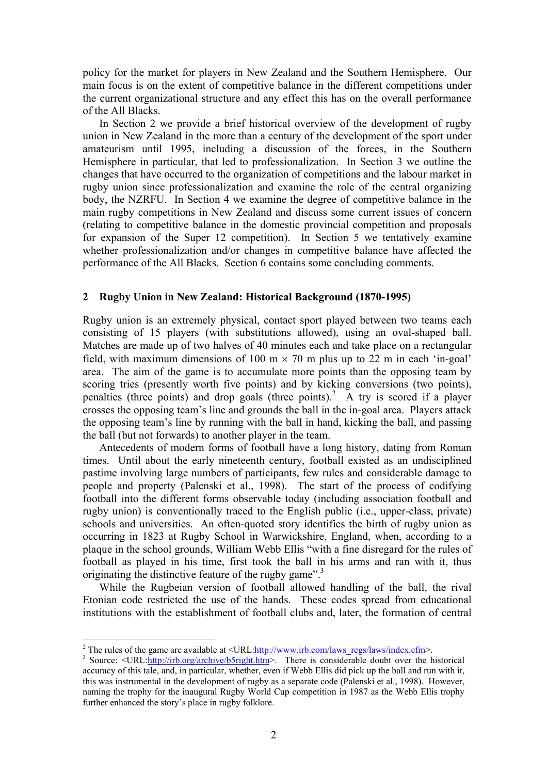policy for the market for players in New Zealand and the Southern Hemisphere. Our main focus is on the extent of competitive balance in the different competitions under the current organizational structure and any effect this has on the overall performance of the All Blacks.

In Section 2 we provide a brief historical overview of the development of rugby union in New Zealand in the more than a century of the development of the sport under amateurism until 1995, including a discussion of the forces, in the Southern Hemisphere in particular, that led to professionalization. In Section 3 we outline the changes that have occurred to the organization of competitions and the labour market in rugby union since professionalization and examine the role of the central organizing body, the NZRFU. In Section 4 we examine the degree of competitive balance in the main rugby competitions in New Zealand and discuss some current issues of concern (relating to competitive balance in the domestic provincial competition and proposals for expansion of the Super 12 competition). In Section 5 we tentatively examine whether professionalization and/or changes in competitive balance have affected the performance of the All Blacks. Section 6 contains some concluding comments.

# **2 Rugby Union in New Zealand: Historical Background (1870-1995)**

Rugby union is an extremely physical, contact sport played between two teams each consisting of 15 players (with substitutions allowed), using an oval-shaped ball. Matches are made up of two halves of 40 minutes each and take place on a rectangular field, with maximum dimensions of 100 m  $\times$  70 m plus up to 22 m in each 'in-goal' area. The aim of the game is to accumulate more points than the opposing team by scoring tries (presently worth five points) and by kicking conversions (two points), penalties (three points) and drop goals (three points).<sup>2</sup> A try is scored if a player crosses the opposing team's line and grounds the ball in the in-goal area. Players attack the opposing team's line by running with the ball in hand, kicking the ball, and passing the ball (but not forwards) to another player in the team.

Antecedents of modern forms of football have a long history, dating from Roman times. Until about the early nineteenth century, football existed as an undisciplined pastime involving large numbers of participants, few rules and considerable damage to people and property (Palenski et al., 1998). The start of the process of codifying football into the different forms observable today (including association football and rugby union) is conventionally traced to the English public (i.e., upper-class, private) schools and universities. An often-quoted story identifies the birth of rugby union as occurring in 1823 at Rugby School in Warwickshire, England, when, according to a plaque in the school grounds, William Webb Ellis "with a fine disregard for the rules of football as played in his time, first took the ball in his arms and ran with it, thus originating the distinctive feature of the rugby game".<sup>[3](#page-2-1)</sup>

While the Rugbeian version of football allowed handling of the ball, the rival Etonian code restricted the use of the hands. These codes spread from educational institutions with the establishment of football clubs and, later, the formation of central

<span id="page-2-0"></span><sup>&</sup>lt;sup>2</sup> The rules of the game are available at  $\langle \text{URL:}\frac{\text{http://www.irb.com/laws\_regs/laws/index.cfm}}{ \text{3} \cdot \text{Source}}$ .

<span id="page-2-1"></span><sup>&</sup>lt;sup>3</sup> Source: <URL:<http://irb.org/archive/b5right.htm>>. There is considerable doubt over the historical accuracy of this tale, and, in particular, whether, even if Webb Ellis did pick up the ball and run with it, this was instrumental in the development of rugby as a separate code (Palenski et al., 1998). However, naming the trophy for the inaugural Rugby World Cup competition in 1987 as the Webb Ellis trophy further enhanced the story's place in rugby folklore.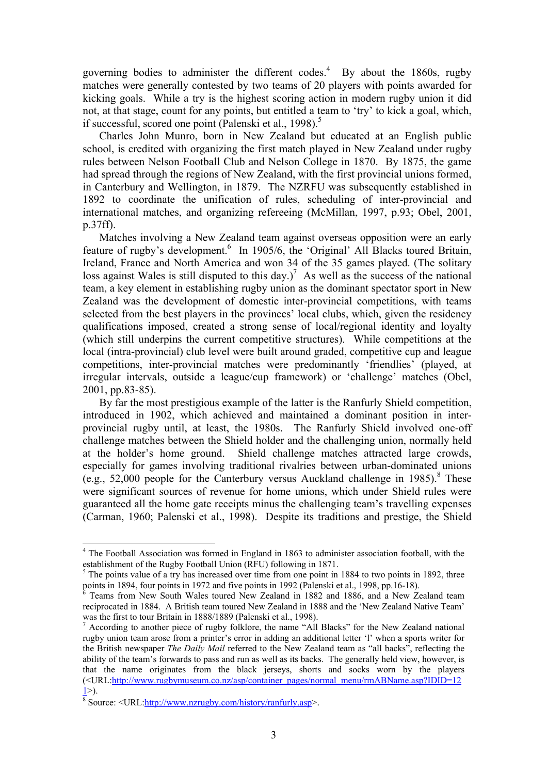governing bodies to administer the different codes.<sup>[4](#page-3-0)</sup> By about the 1860s, rugby matches were generally contested by two teams of 20 players with points awarded for kicking goals. While a try is the highest scoring action in modern rugby union it did not, at that stage, count for any points, but entitled a team to 'try' to kick a goal, which, if successful, scored one point (Palenski et al., 1998).<sup>[5](#page-3-1)</sup>

Charles John Munro, born in New Zealand but educated at an English public school, is credited with organizing the first match played in New Zealand under rugby rules between Nelson Football Club and Nelson College in 1870. By 1875, the game had spread through the regions of New Zealand, with the first provincial unions formed, in Canterbury and Wellington, in 1879. The NZRFU was subsequently established in 1892 to coordinate the unification of rules, scheduling of inter-provincial and international matches, and organizing refereeing (McMillan, 1997, p.93; Obel, 2001, p.37ff).

Matches involving a New Zealand team against overseas opposition were an early feature of rugby's development.<sup>[6](#page-3-2)</sup> In 1905/6, the 'Original' All Blacks toured Britain, Ireland, France and North America and won 34 of the 35 games played. (The solitary loss against Wales is still disputed to this day.)<sup>[7](#page-3-3)</sup> As well as the success of the national team, a key element in establishing rugby union as the dominant spectator sport in New Zealand was the development of domestic inter-provincial competitions, with teams selected from the best players in the provinces' local clubs, which, given the residency qualifications imposed, created a strong sense of local/regional identity and loyalty (which still underpins the current competitive structures). While competitions at the local (intra-provincial) club level were built around graded, competitive cup and league competitions, inter-provincial matches were predominantly 'friendlies' (played, at irregular intervals, outside a league/cup framework) or 'challenge' matches (Obel, 2001, pp.83-85).

By far the most prestigious example of the latter is the Ranfurly Shield competition, introduced in 1902, which achieved and maintained a dominant position in interprovincial rugby until, at least, the 1980s. The Ranfurly Shield involved one-off challenge matches between the Shield holder and the challenging union, normally held at the holder's home ground. Shield challenge matches attracted large crowds, especially for games involving traditional rivalries between urban-dominated unions (e.g., 52,000 people for the Canterbury versus Auckland challenge in  $1985$ ).<sup>8</sup> These were significant sources of revenue for home unions, which under Shield rules were guaranteed all the home gate receipts minus the challenging team's travelling expenses (Carman, 1960; Palenski et al., 1998). Despite its traditions and prestige, the Shield

<span id="page-3-0"></span><sup>&</sup>lt;sup>4</sup> The Football Association was formed in England in 1863 to administer association football, with the establishment of the Rugby Football Union (RFU) following in 1871.<br><sup>5</sup> The points value of a try has increased over time from one point in 1884 to two points in 1892, three

<span id="page-3-1"></span>points in 1894, four points in 1972 and five points in 1992 (Palenski et al., 1998, pp.16-18).

<span id="page-3-2"></span>Teams from New South Wales toured New Zealand in 1882 and 1886, and a New Zealand team reciprocated in 1884. A British team toured New Zealand in 1888 and the 'New Zealand Native Team' was the first to tour Britain in 1888/1889 (Palenski et al., 1998).

<span id="page-3-3"></span> $\alpha$  According to another piece of rugby folklore, the name "All Blacks" for the New Zealand national rugby union team arose from a printer's error in adding an additional letter 'l' when a sports writer for the British newspaper *The Daily Mail* referred to the New Zealand team as "all backs", reflecting the ability of the team's forwards to pass and run as well as its backs. The generally held view, however, is that the name originates from the black jerseys, shorts and socks worn by the players (<URL:[http://www.rugbymuseum.co.nz/asp/container\\_pages/normal\\_menu/rmABName.asp?IDID=12](http://www.rugbymuseum.co.nz/asp/container_pages/normal_menu/rmABName.asp?IDID=121)  $1>$  $1>$ ).

<span id="page-3-4"></span><sup>&</sup>lt;sup>8</sup> Source: <URL[:http://www.nzrugby.com/history/ranfurly.asp](http://www.nzrugby.com/history/ranfurly.asp)>.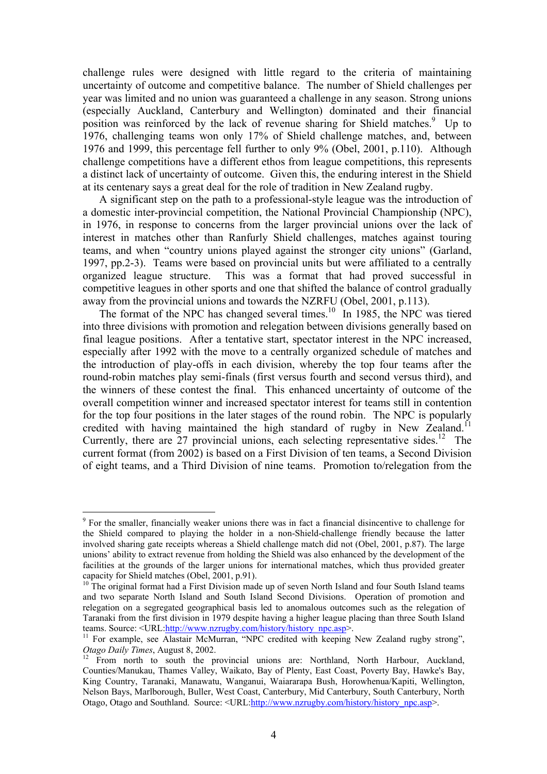challenge rules were designed with little regard to the criteria of maintaining uncertainty of outcome and competitive balance. The number of Shield challenges per year was limited and no union was guaranteed a challenge in any season. Strong unions (especially Auckland, Canterbury and Wellington) dominated and their financial position was reinforced by the lack of revenue sharing for Shield matches.<sup>[9](#page-4-0)</sup> Up to 1976, challenging teams won only 17% of Shield challenge matches, and, between 1976 and 1999, this percentage fell further to only 9% (Obel, 2001, p.110). Although challenge competitions have a different ethos from league competitions, this represents a distinct lack of uncertainty of outcome. Given this, the enduring interest in the Shield at its centenary says a great deal for the role of tradition in New Zealand rugby.

A significant step on the path to a professional-style league was the introduction of a domestic inter-provincial competition, the National Provincial Championship (NPC), in 1976, in response to concerns from the larger provincial unions over the lack of interest in matches other than Ranfurly Shield challenges, matches against touring teams, and when "country unions played against the stronger city unions" (Garland, 1997, pp.2-3). Teams were based on provincial units but were affiliated to a centrally organized league structure. This was a format that had proved successful in competitive leagues in other sports and one that shifted the balance of control gradually away from the provincial unions and towards the NZRFU (Obel, 2001, p.113).

The format of the NPC has changed several times.<sup>10</sup> In 1985, the NPC was tiered into three divisions with promotion and relegation between divisions generally based on final league positions. After a tentative start, spectator interest in the NPC increased, especially after 1992 with the move to a centrally organized schedule of matches and the introduction of play-offs in each division, whereby the top four teams after the round-robin matches play semi-finals (first versus fourth and second versus third), and the winners of these contest the final. This enhanced uncertainty of outcome of the overall competition winner and increased spectator interest for teams still in contention for the top four positions in the later stages of the round robin. The NPC is popularly credited with having maintained the high standard of rugby in New Zealand.<sup>11</sup> Currently, there are  $27$  provincial unions, each selecting representative sides.<sup>12</sup> The current format (from 2002) is based on a First Division of ten teams, a Second Division of eight teams, and a Third Division of nine teams. Promotion to/relegation from the

<span id="page-4-0"></span><sup>&</sup>lt;sup>9</sup> For the smaller, financially weaker unions there was in fact a financial disincentive to challenge for the Shield compared to playing the holder in a non-Shield-challenge friendly because the latter involved sharing gate receipts whereas a Shield challenge match did not (Obel, 2001, p.87). The large unions' ability to extract revenue from holding the Shield was also enhanced by the development of the facilities at the grounds of the larger unions for international matches, which thus provided greater capacity for Shield matches (Obel, 2001, p.91).<br><sup>10</sup> The original format had a First Division made up of seven North Island and four South Island teams

<span id="page-4-1"></span>and two separate North Island and South Island Second Divisions. Operation of promotion and relegation on a segregated geographical basis led to anomalous outcomes such as the relegation of Taranaki from the first division in 1979 despite having a higher league placing than three South Island teams. Source: <URL:http://www.nzrugby.com/history/history\_npc.asp>.

<span id="page-4-2"></span> $11$  For example, see Alastair McMurran, "NPC credited with keeping New Zealand rugby strong", *Otago Daily Times*, August 8, 2002. 12 From north to south the provincial unions are: Northland, North Harbour, Auckland,

<span id="page-4-3"></span>Counties/Manukau, Thames Valley, Waikato, Bay of Plenty, East Coast, Poverty Bay, Hawke's Bay, King Country, Taranaki, Manawatu, Wanganui, Waiararapa Bush, Horowhenua/Kapiti, Wellington, Nelson Bays, Marlborough, Buller, West Coast, Canterbury, Mid Canterbury, South Canterbury, North Otago, Otago and Southland. Source: <URL:[http://www.nzrugby.com/history/history\\_npc.asp>](http://www.nzrugby.com/history/history_npc.asp).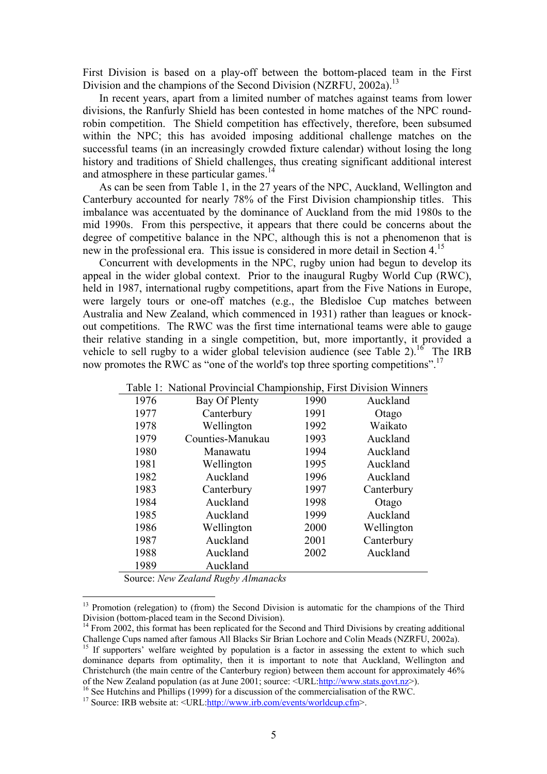First Division is based on a play-off between the bottom-placed team in the First Division and the champions of the Second Division (NZRFU, 2002a).<sup>13</sup>

In recent years, apart from a limited number of matches against teams from lower divisions, the Ranfurly Shield has been contested in home matches of the NPC roundrobin competition. The Shield competition has effectively, therefore, been subsumed within the NPC; this has avoided imposing additional challenge matches on the successful teams (in an increasingly crowded fixture calendar) without losing the long history and traditions of Shield challenges, thus creating significant additional interest and atmosphere in these particular games.<sup>14</sup>

As can be seen from Table 1, in the 27 years of the NPC, Auckland, Wellington and Canterbury accounted for nearly 78% of the First Division championship titles. This imbalance was accentuated by the dominance of Auckland from the mid 1980s to the mid 1990s. From this perspective, it appears that there could be concerns about the degree of competitive balance in the NPC, although this is not a phenomenon that is new in the professional era. This issue is considered in more detail in Section 4.[15](#page-5-2)

Concurrent with developments in the NPC, rugby union had begun to develop its appeal in the wider global context. Prior to the inaugural Rugby World Cup (RWC), held in 1987, international rugby competitions, apart from the Five Nations in Europe, were largely tours or one-off matches (e.g., the Bledisloe Cup matches between Australia and New Zealand, which commenced in 1931) rather than leagues or knockout competitions. The RWC was the first time international teams were able to gauge their relative standing in a single competition, but, more importantly, it provided a vehicle to sell rugby to a wider global television audience (see Table 2).<sup>16</sup> The IRB now promotes the RWC as "one of the world's top three sporting competitions".<sup>17</sup>

|      | Table 1: National Provincial Championship, First Division Winners |      |            |
|------|-------------------------------------------------------------------|------|------------|
| 1976 | Bay Of Plenty                                                     | 1990 | Auckland   |
| 1977 | Canterbury                                                        | 1991 | Otago      |
| 1978 | Wellington                                                        | 1992 | Waikato    |
| 1979 | Counties-Manukau                                                  | 1993 | Auckland   |
| 1980 | Manawatu                                                          | 1994 | Auckland   |
| 1981 | Wellington                                                        | 1995 | Auckland   |
| 1982 | Auckland                                                          | 1996 | Auckland   |
| 1983 | Canterbury                                                        | 1997 | Canterbury |
| 1984 | Auckland                                                          | 1998 | Otago      |
| 1985 | Auckland                                                          | 1999 | Auckland   |
| 1986 | Wellington                                                        | 2000 | Wellington |
| 1987 | Auckland                                                          | 2001 | Canterbury |
| 1988 | Auckland                                                          | 2002 | Auckland   |
| 1989 | Auckland                                                          |      |            |

Source: *New Zealand Rugby Almanacks*

<span id="page-5-0"></span> $13$  Promotion (relegation) to (from) the Second Division is automatic for the champions of the Third Division (bottom-placed team in the Second Division).

<span id="page-5-1"></span> $14$  From 2002, this format has been replicated for the Second and Third Divisions by creating additional Challenge Cups named after famous All Blacks Sir Brian Lochore and Colin Meads (NZRFU, 2002a). 15 If supporters' welfare weighted by population is a factor in assessing the extent to which such

<span id="page-5-2"></span>dominance departs from optimality, then it is important to note that Auckland, Wellington and Christchurch (the main centre of the Canterbury region) between them account for approximately 46% of the New Zealand population (as at June 2001; source:  $\langle \text{URL:} \frac{\text{http://www.stats.govt.nz>}}{\text{http://www.stats.govt.nz>}}$ ).

<span id="page-5-3"></span><sup>&</sup>lt;sup>16</sup> See Hutchins and Phillips (1999) for a discussion of the commercialisation of the RWC.<br><sup>17</sup> Source: IRB website at: <URL[:http://www.irb.com/events/worldcup.cfm>](http://www.irb.com/events/worldcup.cfm).

<span id="page-5-4"></span>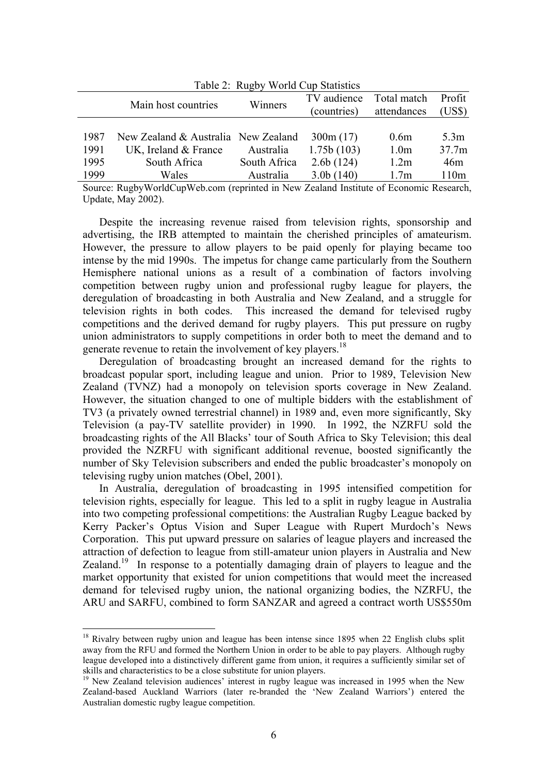| Table 2: Rugby World Cup Statistics |                                                                                       |              |              |                  |                   |  |  |
|-------------------------------------|---------------------------------------------------------------------------------------|--------------|--------------|------------------|-------------------|--|--|
|                                     |                                                                                       | Winners      | TV audience  | Total match      | Profit            |  |  |
|                                     | Main host countries                                                                   |              | (countries)  | attendances      | (US\$)            |  |  |
|                                     |                                                                                       |              |              |                  |                   |  |  |
| 1987                                | New Zealand & Australia New Zealand                                                   |              | 300m(17)     | 0.6 <sub>m</sub> | 5.3m              |  |  |
| 1991                                | UK, Ireland $&$ France                                                                | Australia    | 1.75b(103)   | 1.0 <sub>m</sub> | 37.7 <sub>m</sub> |  |  |
| 1995                                | South Africa                                                                          | South Africa | 2.6b(124)    | 1.2m             | 46m               |  |  |
| 1999                                | Wales                                                                                 | Australia    | $3.0b$ (140) | 1.7 <sub>m</sub> | 110 <sub>m</sub>  |  |  |
|                                     | Source: BugbyWorldCupWeb.com (reprinted in New Zealand Institute of Economic Desearch |              |              |                  |                   |  |  |

Table 2: Rugby World Cup Statistics

Source: RugbyWorldCupWeb.com (reprinted in New Zealand Institute of Economic Research, Update, May 2002).

Despite the increasing revenue raised from television rights, sponsorship and advertising, the IRB attempted to maintain the cherished principles of amateurism. However, the pressure to allow players to be paid openly for playing became too intense by the mid 1990s. The impetus for change came particularly from the Southern Hemisphere national unions as a result of a combination of factors involving competition between rugby union and professional rugby league for players, the deregulation of broadcasting in both Australia and New Zealand, and a struggle for television rights in both codes. This increased the demand for televised rugby competitions and the derived demand for rugby players. This put pressure on rugby union administrators to supply competitions in order both to meet the demand and to generate revenue to retain the involvement of key players.<sup>18</sup>

Deregulation of broadcasting brought an increased demand for the rights to broadcast popular sport, including league and union. Prior to 1989, Television New Zealand (TVNZ) had a monopoly on television sports coverage in New Zealand. However, the situation changed to one of multiple bidders with the establishment of TV3 (a privately owned terrestrial channel) in 1989 and, even more significantly, Sky Television (a pay-TV satellite provider) in 1990. In 1992, the NZRFU sold the broadcasting rights of the All Blacks' tour of South Africa to Sky Television; this deal provided the NZRFU with significant additional revenue, boosted significantly the number of Sky Television subscribers and ended the public broadcaster's monopoly on televising rugby union matches (Obel, 2001).

In Australia, deregulation of broadcasting in 1995 intensified competition for television rights, especially for league. This led to a split in rugby league in Australia into two competing professional competitions: the Australian Rugby League backed by Kerry Packer's Optus Vision and Super League with Rupert Murdoch's News Corporation. This put upward pressure on salaries of league players and increased the attraction of defection to league from still-amateur union players in Australia and New Zealand.<sup>19</sup> In response to a potentially damaging drain of players to league and the market opportunity that existed for union competitions that would meet the increased demand for televised rugby union, the national organizing bodies, the NZRFU, the ARU and SARFU, combined to form SANZAR and agreed a contract worth US\$550m

<span id="page-6-0"></span><sup>&</sup>lt;sup>18</sup> Rivalry between rugby union and league has been intense since 1895 when 22 English clubs split away from the RFU and formed the Northern Union in order to be able to pay players. Although rugby league developed into a distinctively different game from union, it requires a sufficiently similar set of skills and characteristics to be a close substitute for union players.<br><sup>19</sup> New Zealand television audiences' interest in rugby league was increased in 1995 when the New

<span id="page-6-1"></span>Zealand-based Auckland Warriors (later re-branded the 'New Zealand Warriors') entered the Australian domestic rugby league competition.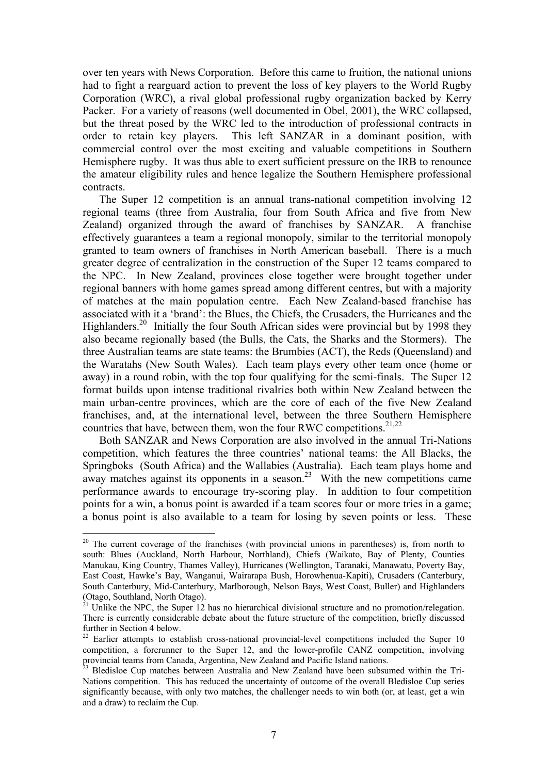over ten years with News Corporation. Before this came to fruition, the national unions had to fight a rearguard action to prevent the loss of key players to the World Rugby Corporation (WRC), a rival global professional rugby organization backed by Kerry Packer. For a variety of reasons (well documented in Obel, 2001), the WRC collapsed, but the threat posed by the WRC led to the introduction of professional contracts in order to retain key players. This left SANZAR in a dominant position, with commercial control over the most exciting and valuable competitions in Southern Hemisphere rugby. It was thus able to exert sufficient pressure on the IRB to renounce the amateur eligibility rules and hence legalize the Southern Hemisphere professional contracts.

The Super 12 competition is an annual trans-national competition involving 12 regional teams (three from Australia, four from South Africa and five from New Zealand) organized through the award of franchises by SANZAR. A franchise effectively guarantees a team a regional monopoly, similar to the territorial monopoly granted to team owners of franchises in North American baseball. There is a much greater degree of centralization in the construction of the Super 12 teams compared to the NPC. In New Zealand, provinces close together were brought together under regional banners with home games spread among different centres, but with a majority of matches at the main population centre. Each New Zealand-based franchise has associated with it a 'brand': the Blues, the Chiefs, the Crusaders, the Hurricanes and the Highlanders.<sup>20</sup> Initially the four South African sides were provincial but by 1998 they also became regionally based (the Bulls, the Cats, the Sharks and the Stormers). The three Australian teams are state teams: the Brumbies (ACT), the Reds (Queensland) and the Waratahs (New South Wales). Each team plays every other team once (home or away) in a round robin, with the top four qualifying for the semi-finals. The Super 12 format builds upon intense traditional rivalries both within New Zealand between the main urban-centre provinces, which are the core of each of the five New Zealand franchises, and, at the international level, between the three Southern Hemisphere countries that have, between them, won the four RWC competitions.<sup>[21,](#page-7-1)[22](#page-7-2)</sup>

Both SANZAR and News Corporation are also involved in the annual Tri-Nations competition, which features the three countries' national teams: the All Blacks, the Springboks (South Africa) and the Wallabies (Australia). Each team plays home and away matches against its opponents in a season.<sup>23</sup> With the new competitions came performance awards to encourage try-scoring play. In addition to four competition points for a win, a bonus point is awarded if a team scores four or more tries in a game; a bonus point is also available to a team for losing by seven points or less. These

<span id="page-7-0"></span> $20$  The current coverage of the franchises (with provincial unions in parentheses) is, from north to south: Blues (Auckland, North Harbour, Northland), Chiefs (Waikato, Bay of Plenty, Counties Manukau, King Country, Thames Valley), Hurricanes (Wellington, Taranaki, Manawatu, Poverty Bay, East Coast, Hawke's Bay, Wanganui, Wairarapa Bush, Horowhenua-Kapiti), Crusaders (Canterbury, South Canterbury, Mid-Canterbury, Marlborough, Nelson Bays, West Coast, Buller) and Highlanders

<span id="page-7-1"></span><sup>(</sup>Otago, Southland, North Otago).<br><sup>21</sup> Unlike the NPC, the Super 12 has no hierarchical divisional structure and no promotion/relegation. There is currently considerable debate about the future structure of the competition, briefly discussed further in Section 4 below.<br><sup>22</sup> Earlier attempts to establish cross-national provincial-level competitions included the Super 10

<span id="page-7-2"></span>competition, a forerunner to the Super 12, and the lower-profile CANZ competition, involving provincial teams from Canada, Argentina, New Zealand and Pacific Island nations.<br><sup>23</sup> Bledisloe Cup matches between Australia and New Zealand have been subsumed within the Tri-

<span id="page-7-3"></span>Nations competition. This has reduced the uncertainty of outcome of the overall Bledisloe Cup series significantly because, with only two matches, the challenger needs to win both (or, at least, get a win and a draw) to reclaim the Cup.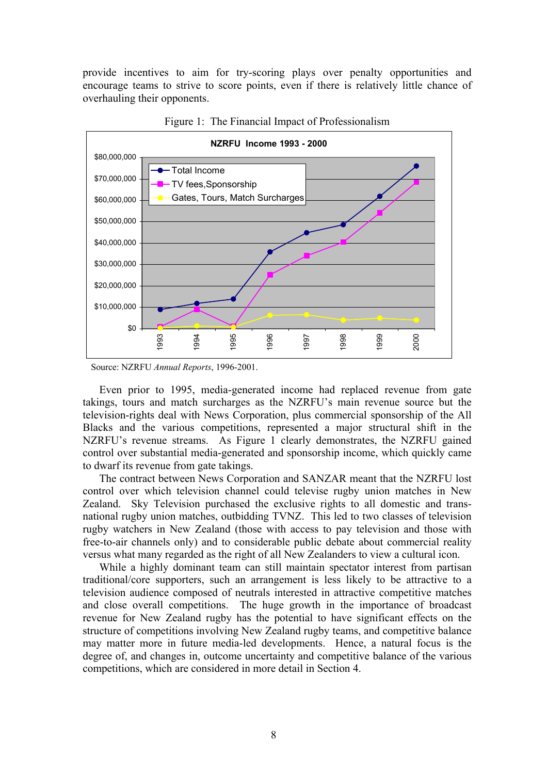provide incentives to aim for try-scoring plays over penalty opportunities and encourage teams to strive to score points, even if there is relatively little chance of overhauling their opponents.



Figure 1: The Financial Impact of Professionalism

Even prior to 1995, media-generated income had replaced revenue from gate takings, tours and match surcharges as the NZRFU's main revenue source but the television-rights deal with News Corporation, plus commercial sponsorship of the All Blacks and the various competitions, represented a major structural shift in the NZRFU's revenue streams. As Figure 1 clearly demonstrates, the NZRFU gained control over substantial media-generated and sponsorship income, which quickly came to dwarf its revenue from gate takings.

The contract between News Corporation and SANZAR meant that the NZRFU lost control over which television channel could televise rugby union matches in New Zealand. Sky Television purchased the exclusive rights to all domestic and transnational rugby union matches, outbidding TVNZ. This led to two classes of television rugby watchers in New Zealand (those with access to pay television and those with free-to-air channels only) and to considerable public debate about commercial reality versus what many regarded as the right of all New Zealanders to view a cultural icon.

While a highly dominant team can still maintain spectator interest from partisan traditional/core supporters, such an arrangement is less likely to be attractive to a television audience composed of neutrals interested in attractive competitive matches and close overall competitions. The huge growth in the importance of broadcast revenue for New Zealand rugby has the potential to have significant effects on the structure of competitions involving New Zealand rugby teams, and competitive balance may matter more in future media-led developments. Hence, a natural focus is the degree of, and changes in, outcome uncertainty and competitive balance of the various competitions, which are considered in more detail in Section 4.

Source: NZRFU *Annual Reports*, 1996-2001.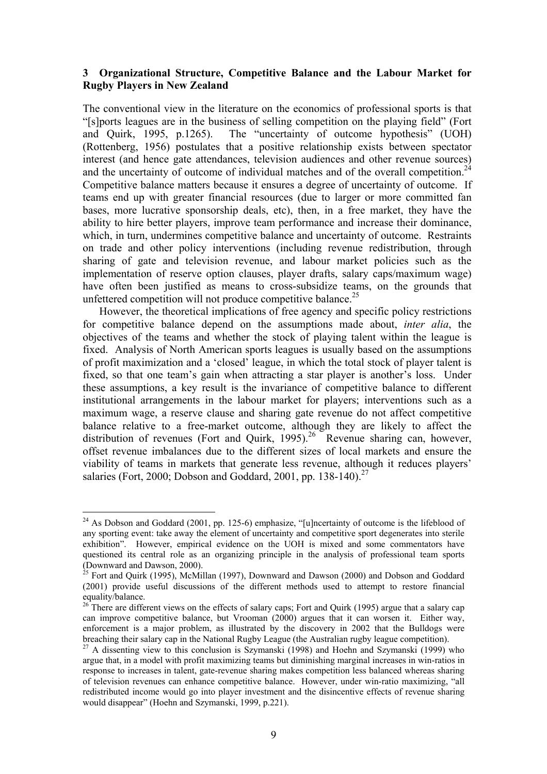## **3 Organizational Structure, Competitive Balance and the Labour Market for Rugby Players in New Zealand**

The conventional view in the literature on the economics of professional sports is that "[s]ports leagues are in the business of selling competition on the playing field" (Fort and Quirk, 1995, p.1265). The "uncertainty of outcome hypothesis" (UOH) (Rottenberg, 1956) postulates that a positive relationship exists between spectator interest (and hence gate attendances, television audiences and other revenue sources) and the uncertainty of outcome of individual matches and of the overall competition.<sup>24</sup> Competitive balance matters because it ensures a degree of uncertainty of outcome. If teams end up with greater financial resources (due to larger or more committed fan bases, more lucrative sponsorship deals, etc), then, in a free market, they have the ability to hire better players, improve team performance and increase their dominance, which, in turn, undermines competitive balance and uncertainty of outcome. Restraints on trade and other policy interventions (including revenue redistribution, through sharing of gate and television revenue, and labour market policies such as the implementation of reserve option clauses, player drafts, salary caps/maximum wage) have often been justified as means to cross-subsidize teams, on the grounds that unfettered competition will not produce competitive balance.<sup>[25](#page-9-1)</sup>

However, the theoretical implications of free agency and specific policy restrictions for competitive balance depend on the assumptions made about, *inter alia*, the objectives of the teams and whether the stock of playing talent within the league is fixed. Analysis of North American sports leagues is usually based on the assumptions of profit maximization and a 'closed' league, in which the total stock of player talent is fixed, so that one team's gain when attracting a star player is another's loss. Under these assumptions, a key result is the invariance of competitive balance to different institutional arrangements in the labour market for players; interventions such as a maximum wage, a reserve clause and sharing gate revenue do not affect competitive balance relative to a free-market outcome, although they are likely to affect the distribution of revenues (Fort and Quirk, 1995).<sup>26</sup> Revenue sharing can, however, offset revenue imbalances due to the different sizes of local markets and ensure the viability of teams in markets that generate less revenue, although it reduces players' salaries (Fort, 2000; Dobson and Goddard, 2001, pp. 138-140).<sup>[27](#page-9-3)</sup>

<span id="page-9-0"></span> $24$  As Dobson and Goddard (2001, pp. 125-6) emphasize, "[u]ncertainty of outcome is the lifeblood of any sporting event: take away the element of uncertainty and competitive sport degenerates into sterile exhibition". However, empirical evidence on the UOH is mixed and some commentators have questioned its central role as an organizing principle in the analysis of professional team sports (Downward and Dawson, 2000). 25 Fort and Quirk (1995), McMillan (1997), Downward and Dawson (2000) and Dobson and Goddard

<span id="page-9-1"></span><sup>(2001)</sup> provide useful discussions of the different methods used to attempt to restore financial

<span id="page-9-2"></span> $26$  There are different views on the effects of salary caps; Fort and Quirk (1995) argue that a salary cap can improve competitive balance, but Vrooman (2000) argues that it can worsen it. Either way, enforcement is a major problem, as illustrated by the discovery in 2002 that the Bulldogs were breaching their salary cap in the National Rugby League (the Australian rugby league competition).<br><sup>27</sup> A dissenting view to this conclusion is Szymanski (1998) and Hoehn and Szymanski (1999) who

<span id="page-9-3"></span>argue that, in a model with profit maximizing teams but diminishing marginal increases in win-ratios in response to increases in talent, gate-revenue sharing makes competition less balanced whereas sharing of television revenues can enhance competitive balance. However, under win-ratio maximizing, "all redistributed income would go into player investment and the disincentive effects of revenue sharing would disappear" (Hoehn and Szymanski, 1999, p.221).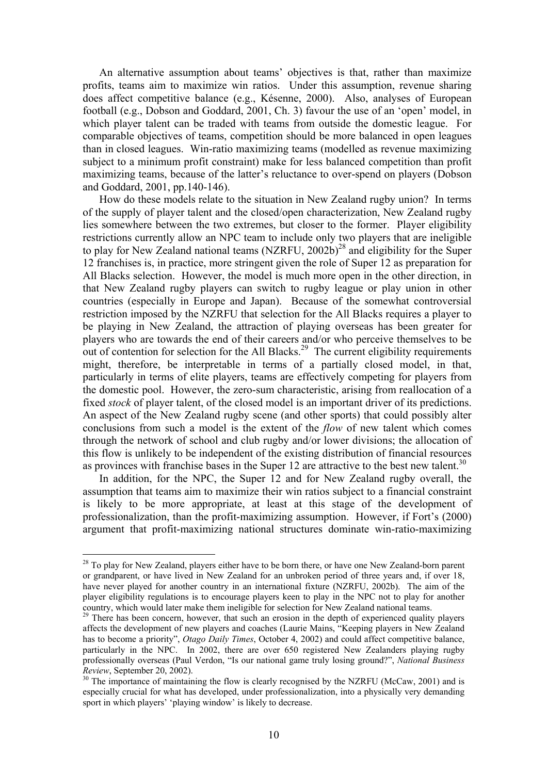An alternative assumption about teams' objectives is that, rather than maximize profits, teams aim to maximize win ratios. Under this assumption, revenue sharing does affect competitive balance (e.g., Késenne, 2000). Also, analyses of European football (e.g., Dobson and Goddard, 2001, Ch. 3) favour the use of an 'open' model, in which player talent can be traded with teams from outside the domestic league. For comparable objectives of teams, competition should be more balanced in open leagues than in closed leagues. Win-ratio maximizing teams (modelled as revenue maximizing subject to a minimum profit constraint) make for less balanced competition than profit maximizing teams, because of the latter's reluctance to over-spend on players (Dobson and Goddard, 2001, pp.140-146).

How do these models relate to the situation in New Zealand rugby union? In terms of the supply of player talent and the closed/open characterization, New Zealand rugby lies somewhere between the two extremes, but closer to the former. Player eligibility restrictions currently allow an NPC team to include only two players that are ineligible to play for New Zealand national teams (NZRFU, 2002b)<sup>28</sup> and eligibility for the Super 12 franchises is, in practice, more stringent given the role of Super 12 as preparation for All Blacks selection. However, the model is much more open in the other direction, in that New Zealand rugby players can switch to rugby league or play union in other countries (especially in Europe and Japan). Because of the somewhat controversial restriction imposed by the NZRFU that selection for the All Blacks requires a player to be playing in New Zealand, the attraction of playing overseas has been greater for players who are towards the end of their careers and/or who perceive themselves to be out of contention for selection for the All Blacks.[29](#page-10-1) The current eligibility requirements might, therefore, be interpretable in terms of a partially closed model, in that, particularly in terms of elite players, teams are effectively competing for players from the domestic pool. However, the zero-sum characteristic, arising from reallocation of a fixed *stock* of player talent, of the closed model is an important driver of its predictions. An aspect of the New Zealand rugby scene (and other sports) that could possibly alter conclusions from such a model is the extent of the *flow* of new talent which comes through the network of school and club rugby and/or lower divisions; the allocation of this flow is unlikely to be independent of the existing distribution of financial resources as provinces with franchise bases in the Super 12 are attractive to the best new talent.<sup>30</sup>

In addition, for the NPC, the Super 12 and for New Zealand rugby overall, the assumption that teams aim to maximize their win ratios subject to a financial constraint is likely to be more appropriate, at least at this stage of the development of professionalization, than the profit-maximizing assumption. However, if Fort's (2000) argument that profit-maximizing national structures dominate win-ratio-maximizing

<span id="page-10-0"></span><sup>&</sup>lt;sup>28</sup> To play for New Zealand, players either have to be born there, or have one New Zealand-born parent or grandparent, or have lived in New Zealand for an unbroken period of three years and, if over 18, have never played for another country in an international fixture (NZRFU, 2002b). The aim of the player eligibility regulations is to encourage players keen to play in the NPC not to play for another country, which would later make them ineligible for selection for New Zealand national teams.<br><sup>29</sup> There has been concern, however, that such an erosion in the depth of experienced quality players

<span id="page-10-1"></span>affects the development of new players and coaches (Laurie Mains, "Keeping players in New Zealand has to become a priority", *Otago Daily Times*, October 4, 2002) and could affect competitive balance, particularly in the NPC. In 2002, there are over 650 registered New Zealanders playing rugby professionally overseas (Paul Verdon, "Is our national game truly losing ground?", *National Business Review*, September 20, 2002).<br><sup>30</sup> The importance of maintaining the flow is clearly recognised by the NZRFU (McCaw, 2001) and is

<span id="page-10-2"></span>especially crucial for what has developed, under professionalization, into a physically very demanding sport in which players' 'playing window' is likely to decrease.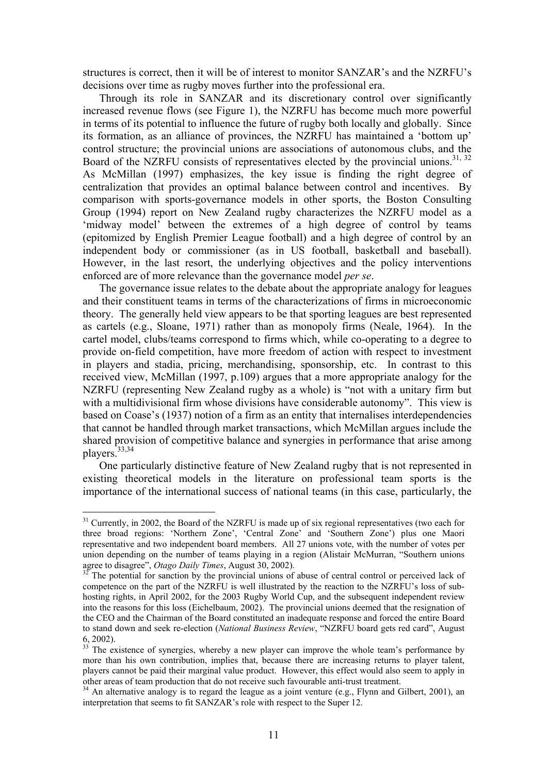structures is correct, then it will be of interest to monitor SANZAR's and the NZRFU's decisions over time as rugby moves further into the professional era.

Through its role in SANZAR and its discretionary control over significantly increased revenue flows (see Figure 1), the NZRFU has become much more powerful in terms of its potential to influence the future of rugby both locally and globally. Since its formation, as an alliance of provinces, the NZRFU has maintained a 'bottom up' control structure; the provincial unions are associations of autonomous clubs, and the Board of the NZRFU consists of representatives elected by the provincial unions.<sup>[31,](#page-11-0) 32</sup> As McMillan (1997) emphasizes, the key issue is finding the right degree of centralization that provides an optimal balance between control and incentives. By comparison with sports-governance models in other sports, the Boston Consulting Group (1994) report on New Zealand rugby characterizes the NZRFU model as a 'midway model' between the extremes of a high degree of control by teams (epitomized by English Premier League football) and a high degree of control by an independent body or commissioner (as in US football, basketball and baseball). However, in the last resort, the underlying objectives and the policy interventions enforced are of more relevance than the governance model *per se*.

The governance issue relates to the debate about the appropriate analogy for leagues and their constituent teams in terms of the characterizations of firms in microeconomic theory. The generally held view appears to be that sporting leagues are best represented as cartels (e.g., Sloane, 1971) rather than as monopoly firms (Neale, 1964). In the cartel model, clubs/teams correspond to firms which, while co-operating to a degree to provide on-field competition, have more freedom of action with respect to investment in players and stadia, pricing, merchandising, sponsorship, etc. In contrast to this received view, McMillan (1997, p.109) argues that a more appropriate analogy for the NZRFU (representing New Zealand rugby as a whole) is "not with a unitary firm but with a multidivisional firm whose divisions have considerable autonomy". This view is based on Coase's (1937) notion of a firm as an entity that internalises interdependencies that cannot be handled through market transactions, which McMillan argues include the shared provision of competitive balance and synergies in performance that arise among players.<sup>[33,](#page-11-2)[34](#page-11-3)</sup>

One particularly distinctive feature of New Zealand rugby that is not represented in existing theoretical models in the literature on professional team sports is the importance of the international success of national teams (in this case, particularly, the

<span id="page-11-0"></span><sup>&</sup>lt;sup>31</sup> Currently, in 2002, the Board of the NZRFU is made up of six regional representatives (two each for three broad regions: 'Northern Zone', 'Central Zone' and 'Southern Zone') plus one Maori representative and two independent board members. All 27 unions vote, with the number of votes per union depending on the number of teams playing in a region (Alistair McMurran, "Southern unions

<span id="page-11-1"></span>agree to disagree", *Otago Daily Times*, August 30, 2002).<br><sup>32</sup> The potential for sanction by the provincial unions of abuse of central control or perceived lack of competence on the part of the NZRFU is well illustrated by the reaction to the NZRFU's loss of subhosting rights, in April 2002, for the 2003 Rugby World Cup, and the subsequent independent review into the reasons for this loss (Eichelbaum, 2002). The provincial unions deemed that the resignation of the CEO and the Chairman of the Board constituted an inadequate response and forced the entire Board to stand down and seek re-election (*National Business Review*, "NZRFU board gets red card", August 6, 2002). 33 The existence of synergies, whereby a new player can improve the whole team's performance by

<span id="page-11-2"></span>more than his own contribution, implies that, because there are increasing returns to player talent, players cannot be paid their marginal value product. However, this effect would also seem to apply in

<span id="page-11-3"></span> $\frac{34}{34}$  An alternative analogy is to regard the league as a joint venture (e.g., Flynn and Gilbert, 2001), an interpretation that seems to fit SANZAR's role with respect to the Super 12.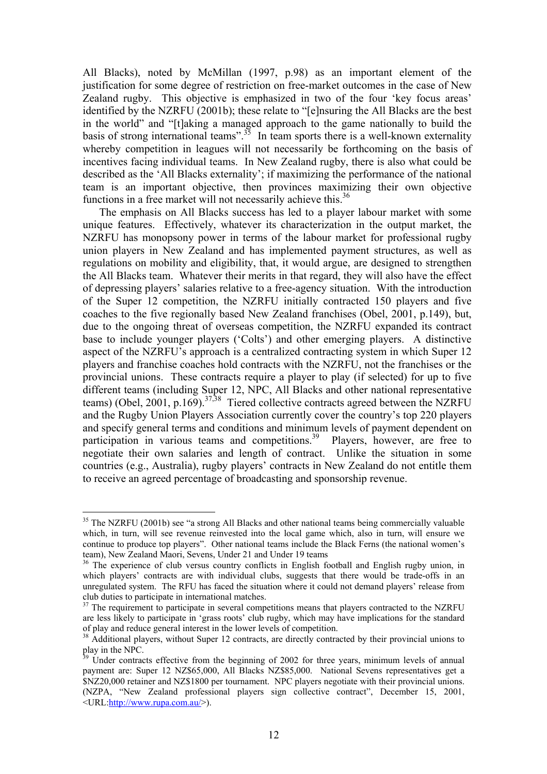All Blacks), noted by McMillan (1997, p.98) as an important element of the justification for some degree of restriction on free-market outcomes in the case of New Zealand rugby. This objective is emphasized in two of the four 'key focus areas' identified by the NZRFU (2001b); these relate to "[e]nsuring the All Blacks are the best in the world" and "[t]aking a managed approach to the game nationally to build the basis of strong international teams".<sup>35</sup> In team sports there is a well-known externality whereby competition in leagues will not necessarily be forthcoming on the basis of incentives facing individual teams. In New Zealand rugby, there is also what could be described as the 'All Blacks externality'; if maximizing the performance of the national team is an important objective, then provinces maximizing their own objective functions in a free market will not necessarily achieve this.<sup>[36](#page-12-1)</sup>

The emphasis on All Blacks success has led to a player labour market with some unique features. Effectively, whatever its characterization in the output market, the NZRFU has monopsony power in terms of the labour market for professional rugby union players in New Zealand and has implemented payment structures, as well as regulations on mobility and eligibility, that, it would argue, are designed to strengthen the All Blacks team. Whatever their merits in that regard, they will also have the effect of depressing players' salaries relative to a free-agency situation. With the introduction of the Super 12 competition, the NZRFU initially contracted 150 players and five coaches to the five regionally based New Zealand franchises (Obel, 2001, p.149), but, due to the ongoing threat of overseas competition, the NZRFU expanded its contract base to include younger players ('Colts') and other emerging players. A distinctive aspect of the NZRFU's approach is a centralized contracting system in which Super 12 players and franchise coaches hold contracts with the NZRFU, not the franchises or the provincial unions. These contracts require a player to play (if selected) for up to five different teams (including Super 12, NPC, All Blacks and other national representative teams) (Obel, 2001, p.169).<sup>[37,](#page-12-2)38</sup> Tiered collective contracts agreed between the NZRFU and the Rugby Union Players Association currently cover the country's top 220 players and specify general terms and conditions and minimum levels of payment dependent on participation in various teams and competitions.<sup>39</sup> Players, however, are free to negotiate their own salaries and length of contract. Unlike the situation in some countries (e.g., Australia), rugby players' contracts in New Zealand do not entitle them to receive an agreed percentage of broadcasting and sponsorship revenue.

<span id="page-12-0"></span> $35$  The NZRFU (2001b) see "a strong All Blacks and other national teams being commercially valuable which, in turn, will see revenue reinvested into the local game which, also in turn, will ensure we continue to produce top players". Other national teams include the Black Ferns (the national women's team), New Zealand Maori, Sevens, Under 21 and Under 19 teams

<span id="page-12-1"></span> $\frac{36}{10}$  The experience of club versus country conflicts in English football and English rugby union, in which players' contracts are with individual clubs, suggests that there would be trade-offs in an unregulated system. The RFU has faced the situation where it could not demand players' release from

<span id="page-12-2"></span> $37$  The requirement to participate in several competitions means that players contracted to the NZRFU are less likely to participate in 'grass roots' club rugby, which may have implications for the standard of play and reduce general interest in the lower levels of competition.

<span id="page-12-3"></span><sup>&</sup>lt;sup>38</sup> Additional players, without Super 12 contracts, are directly contracted by their provincial unions to play in the NPC.

<span id="page-12-4"></span>Under contracts effective from the beginning of 2002 for three years, minimum levels of annual payment are: Super 12 NZ\$65,000, All Blacks NZ\$85,000. National Sevens representatives get a \$NZ20,000 retainer and NZ\$1800 per tournament. NPC players negotiate with their provincial unions. (NZPA, "New Zealand professional players sign collective contract", December 15, 2001, <URL[:http://www.rupa.com.au/>](http://www.rupa.com.au/)).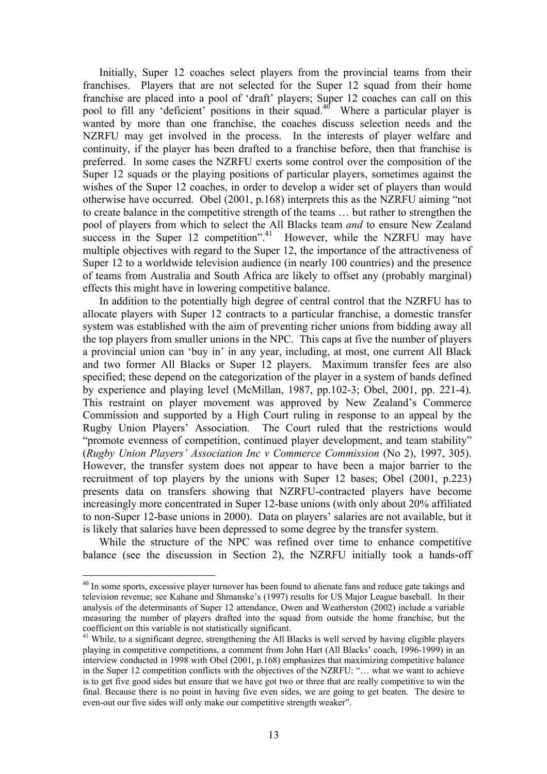Initially, Super 12 coaches select players from the provincial teams from their franchises. Players that are not selected for the Super 12 squad from their home franchise are placed into a pool of 'draft' players; Super 12 coaches can call on this pool to fill any 'deficient' positions in their squad.<sup>40</sup> Where a particular player is wanted by more than one franchise, the coaches discuss selection needs and the NZRFU may get involved in the process. In the interests of player welfare and continuity, if the player has been drafted to a franchise before, then that franchise is preferred. In some cases the NZRFU exerts some control over the composition of the Super 12 squads or the playing positions of particular players, sometimes against the wishes of the Super 12 coaches, in order to develop a wider set of players than would otherwise have occurred. Obel (2001, p.168) interprets this as the NZRFU aiming "not to create balance in the competitive strength of the teams … but rather to strengthen the pool of players from which to select the All Blacks team *and* to ensure New Zealand success in the Super 12 competition".<sup>41</sup> However, while the NZRFU may have multiple objectives with regard to the Super 12, the importance of the attractiveness of Super 12 to a worldwide television audience (in nearly 100 countries) and the presence of teams from Australia and South Africa are likely to offset any (probably marginal) effects this might have in lowering competitive balance.

In addition to the potentially high degree of central control that the NZRFU has to allocate players with Super 12 contracts to a particular franchise, a domestic transfer system was established with the aim of preventing richer unions from bidding away all the top players from smaller unions in the NPC. This caps at five the number of players a provincial union can 'buy in' in any year, including, at most, one current All Black and two former All Blacks or Super 12 players. Maximum transfer fees are also specified; these depend on the categorization of the player in a system of bands defined by experience and playing level (McMillan, 1987, pp.102-3; Obel, 2001, pp. 221-4). This restraint on player movement was approved by New Zealand's Commerce Commission and supported by a High Court ruling in response to an appeal by the Rugby Union Players' Association. The Court ruled that the restrictions would "promote evenness of competition, continued player development, and team stability" (*Rugby Union Players' Association Inc v Commerce Commission* (No 2), 1997, 305). However, the transfer system does not appear to have been a major barrier to the recruitment of top players by the unions with Super 12 bases; Obel (2001, p.223) presents data on transfers showing that NZRFU-contracted players have become increasingly more concentrated in Super 12-base unions (with only about 20% affiliated to non-Super 12-base unions in 2000). Data on players' salaries are not available, but it is likely that salaries have been depressed to some degree by the transfer system.

While the structure of the NPC was refined over time to enhance competitive balance (see the discussion in Section 2), the NZRFU initially took a hands-off

<span id="page-13-0"></span><sup>&</sup>lt;sup>40</sup> In some sports, excessive player turnover has been found to alienate fans and reduce gate takings and television revenue; see Kahane and Shmanske's (1997) results for US Major League baseball. In their analysis of the determinants of Super 12 attendance, Owen and Weatherston (2002) include a variable measuring the number of players drafted into the squad from outside the home franchise, but the coefficient on this variable is not statistically significant.

<span id="page-13-1"></span> $41$  While, to a significant degree, strengthening the All Blacks is well served by having eligible players playing in competitive competitions, a comment from John Hart (All Blacks' coach, 1996-1999) in an interview conducted in 1998 with Obel (2001, p.168) emphasizes that maximizing competitive balance in the Super 12 competition conflicts with the objectives of the NZRFU: "… what we want to achieve is to get five good sides but ensure that we have got two or three that are really competitive to win the final. Because there is no point in having five even sides, we are going to get beaten. The desire to even-out our five sides will only make our competitive strength weaker".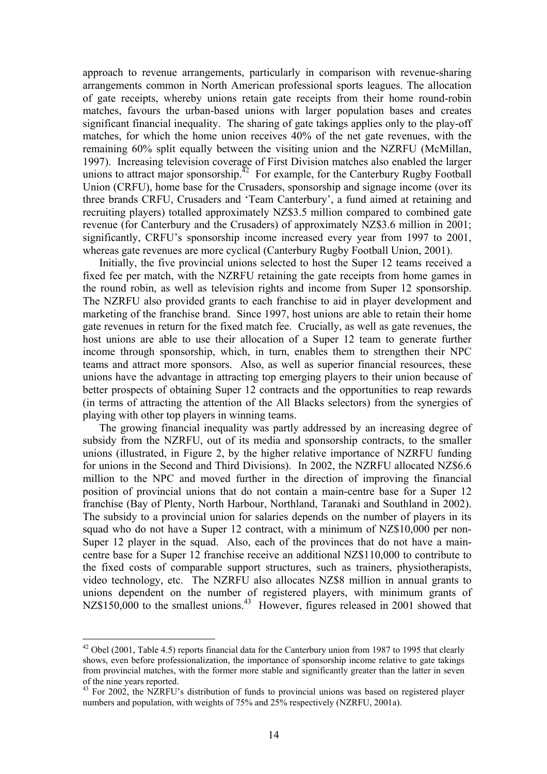approach to revenue arrangements, particularly in comparison with revenue-sharing arrangements common in North American professional sports leagues. The allocation of gate receipts, whereby unions retain gate receipts from their home round-robin matches, favours the urban-based unions with larger population bases and creates significant financial inequality. The sharing of gate takings applies only to the play-off matches, for which the home union receives 40% of the net gate revenues, with the remaining 60% split equally between the visiting union and the NZRFU (McMillan, 1997). Increasing television coverage of First Division matches also enabled the larger unions to attract major sponsorship.<sup>42</sup> For example, for the Canterbury Rugby Football Union (CRFU), home base for the Crusaders, sponsorship and signage income (over its three brands CRFU, Crusaders and 'Team Canterbury', a fund aimed at retaining and recruiting players) totalled approximately NZ\$3.5 million compared to combined gate revenue (for Canterbury and the Crusaders) of approximately NZ\$3.6 million in 2001; significantly, CRFU's sponsorship income increased every year from 1997 to 2001, whereas gate revenues are more cyclical (Canterbury Rugby Football Union, 2001).

Initially, the five provincial unions selected to host the Super 12 teams received a fixed fee per match, with the NZRFU retaining the gate receipts from home games in the round robin, as well as television rights and income from Super 12 sponsorship. The NZRFU also provided grants to each franchise to aid in player development and marketing of the franchise brand. Since 1997, host unions are able to retain their home gate revenues in return for the fixed match fee. Crucially, as well as gate revenues, the host unions are able to use their allocation of a Super 12 team to generate further income through sponsorship, which, in turn, enables them to strengthen their NPC teams and attract more sponsors. Also, as well as superior financial resources, these unions have the advantage in attracting top emerging players to their union because of better prospects of obtaining Super 12 contracts and the opportunities to reap rewards (in terms of attracting the attention of the All Blacks selectors) from the synergies of playing with other top players in winning teams.

The growing financial inequality was partly addressed by an increasing degree of subsidy from the NZRFU, out of its media and sponsorship contracts, to the smaller unions (illustrated, in Figure 2, by the higher relative importance of NZRFU funding for unions in the Second and Third Divisions). In 2002, the NZRFU allocated NZ\$6.6 million to the NPC and moved further in the direction of improving the financial position of provincial unions that do not contain a main-centre base for a Super 12 franchise (Bay of Plenty, North Harbour, Northland, Taranaki and Southland in 2002). The subsidy to a provincial union for salaries depends on the number of players in its squad who do not have a Super 12 contract, with a minimum of NZ\$10,000 per non-Super 12 player in the squad. Also, each of the provinces that do not have a maincentre base for a Super 12 franchise receive an additional NZ\$110,000 to contribute to the fixed costs of comparable support structures, such as trainers, physiotherapists, video technology, etc. The NZRFU also allocates NZ\$8 million in annual grants to unions dependent on the number of registered players, with minimum grants of NZ\$150,000 to the smallest unions.<sup>43</sup> However, figures released in 2001 showed that

<span id="page-14-0"></span><sup>&</sup>lt;sup>42</sup> Obel (2001, Table 4.5) reports financial data for the Canterbury union from 1987 to 1995 that clearly shows, even before professionalization, the importance of sponsorship income relative to gate takings from provincial matches, with the former more stable and significantly greater than the latter in seven

<span id="page-14-1"></span><sup>&</sup>lt;sup>43</sup> For 2002, the NZRFU's distribution of funds to provincial unions was based on registered player numbers and population, with weights of 75% and 25% respectively (NZRFU, 2001a).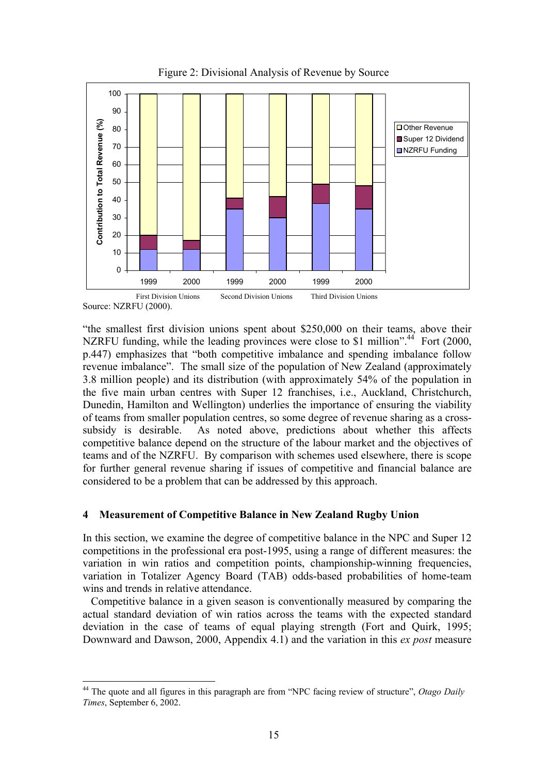

Figure 2: Divisional Analysis of Revenue by Source

"the smallest first division unions spent about \$250,000 on their teams, above their NZRFU funding, while the leading provinces were close to \$1 million".<sup>44</sup> Fort (2000, p.447) emphasizes that "both competitive imbalance and spending imbalance follow revenue imbalance". The small size of the population of New Zealand (approximately 3.8 million people) and its distribution (with approximately 54% of the population in the five main urban centres with Super 12 franchises, i.e., Auckland, Christchurch, Dunedin, Hamilton and Wellington) underlies the importance of ensuring the viability of teams from smaller population centres, so some degree of revenue sharing as a crosssubsidy is desirable. As noted above, predictions about whether this affects competitive balance depend on the structure of the labour market and the objectives of teams and of the NZRFU. By comparison with schemes used elsewhere, there is scope for further general revenue sharing if issues of competitive and financial balance are considered to be a problem that can be addressed by this approach.

# **4 Measurement of Competitive Balance in New Zealand Rugby Union**

In this section, we examine the degree of competitive balance in the NPC and Super 12 competitions in the professional era post-1995, using a range of different measures: the variation in win ratios and competition points, championship-winning frequencies, variation in Totalizer Agency Board (TAB) odds-based probabilities of home-team wins and trends in relative attendance.

Competitive balance in a given season is conventionally measured by comparing the actual standard deviation of win ratios across the teams with the expected standard deviation in the case of teams of equal playing strength (Fort and Quirk, 1995; Downward and Dawson, 2000, Appendix 4.1) and the variation in this *ex post* measure

Source: NZRFU (2000).

<span id="page-15-0"></span> $\overline{a}$ 44 The quote and all figures in this paragraph are from "NPC facing review of structure", *Otago Daily Times*, September 6, 2002.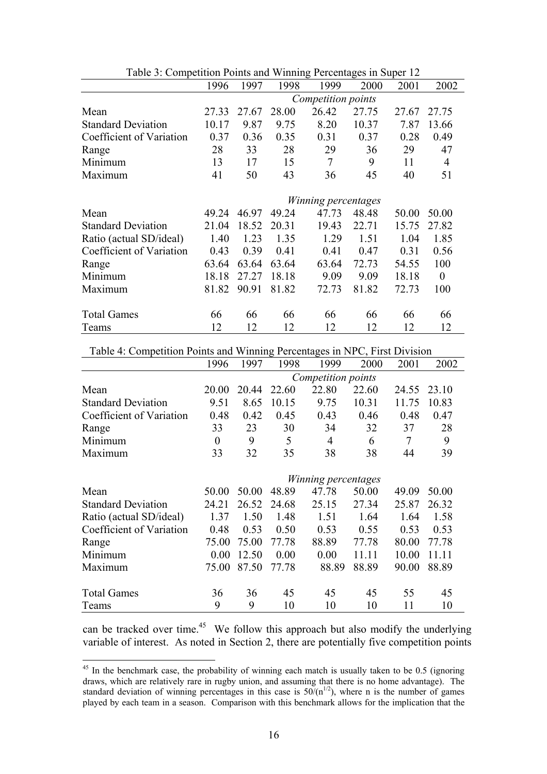<span id="page-16-0"></span>

| Table 5. Competition I only and willing I creditages in Super 12 |                     |       |       |                    |       |       |                |
|------------------------------------------------------------------|---------------------|-------|-------|--------------------|-------|-------|----------------|
|                                                                  | 1996                | 1997  | 1998  | 1999               | 2000  | 2001  | 2002           |
|                                                                  |                     |       |       | Competition points |       |       |                |
| Mean                                                             | 27.33               | 27.67 | 28.00 | 26.42              | 27.75 | 27.67 | 27.75          |
| <b>Standard Deviation</b>                                        | 10.17               | 9.87  | 9.75  | 8.20               | 10.37 | 7.87  | 13.66          |
| Coefficient of Variation                                         | 0.37                | 0.36  | 0.35  | 0.31               | 0.37  | 0.28  | 0.49           |
| Range                                                            | 28                  | 33    | 28    | 29                 | 36    | 29    | 47             |
| Minimum                                                          | 13                  | 17    | 15    | $\overline{7}$     | 9     | 11    | $\overline{4}$ |
| Maximum                                                          | 41                  | 50    | 43    | 36                 | 45    | 40    | 51             |
|                                                                  | Winning percentages |       |       |                    |       |       |                |
| Mean                                                             | 49.24               | 46.97 | 49.24 | 47.73              | 48.48 | 50.00 | 50.00          |
| <b>Standard Deviation</b>                                        | 21.04               | 18.52 | 20.31 | 19.43              | 22.71 | 15.75 | 27.82          |
| Ratio (actual SD/ideal)                                          | 1.40                | 1.23  | 1.35  | 1.29               | 1.51  | 1.04  | 1.85           |
| Coefficient of Variation                                         | 0.43                | 0.39  | 0.41  | 0.41               | 0.47  | 0.31  | 0.56           |
| Range                                                            | 63.64               | 63.64 | 63.64 | 63.64              | 72.73 | 54.55 | 100            |
| Minimum                                                          | 18.18               | 27.27 | 18.18 | 9.09               | 9.09  | 18.18 | $\overline{0}$ |
| Maximum                                                          | 81.82               | 90.91 | 81.82 | 72.73              | 81.82 | 72.73 | 100            |
| <b>Total Games</b>                                               | 66                  | 66    | 66    | 66                 | 66    | 66    | 66             |
| Teams                                                            | 12                  | 12    | 12    | 12                 | 12    | 12    | 12             |

Table 3: Competition Points and Winning Percentages in Super 12

Table 4: Competition Points and Winning Percentages in NPC, First Division

|                           | 1996           | 1997  | 1998  | 1999                | 2000  | 2001           | 2002  |
|---------------------------|----------------|-------|-------|---------------------|-------|----------------|-------|
|                           |                |       |       | Competition points  |       |                |       |
| Mean                      | 20.00          | 20.44 | 22.60 | 22.80               | 22.60 | 24.55          | 23.10 |
| <b>Standard Deviation</b> | 9.51           | 8.65  | 10.15 | 9.75                | 10.31 | 11.75          | 10.83 |
| Coefficient of Variation  | 0.48           | 0.42  | 0.45  | 0.43                | 0.46  | 0.48           | 0.47  |
| Range                     | 33             | 23    | 30    | 34                  | 32    | 37             | 28    |
| Minimum                   | $\overline{0}$ | 9     | 5     | 4                   | 6     | $\overline{7}$ | 9     |
| Maximum                   | 33             | 32    | 35    | 38                  | 38    | 44             | 39    |
|                           |                |       |       |                     |       |                |       |
|                           |                |       |       | Winning percentages |       |                |       |
| Mean                      | 50.00          | 50.00 | 48.89 | 47.78               | 50.00 | 49.09          | 50.00 |
| <b>Standard Deviation</b> | 24.21          | 26.52 | 24.68 | 25.15               | 27.34 | 25.87          | 26.32 |
| Ratio (actual SD/ideal)   | 1.37           | 1.50  | 1.48  | 1.51                | 1.64  | 1.64           | 1.58  |
| Coefficient of Variation  | 0.48           | 0.53  | 0.50  | 0.53                | 0.55  | 0.53           | 0.53  |
| Range                     | 75.00          | 75.00 | 77.78 | 88.89               | 77.78 | 80.00          | 77.78 |
| Minimum                   | 0.00           | 12.50 | 0.00  | 0.00                | 11.11 | 10.00          | 11.11 |
| Maximum                   | 75.00          | 87.50 | 77.78 | 88.89               | 88.89 | 90.00          | 88.89 |
| <b>Total Games</b>        | 36             | 36    | 45    | 45                  | 45    | 55             | 45    |
| Teams                     | 9              | 9     | 10    | 10                  | 10    | 11             | 10    |

can be tracked over time.<sup>45</sup> We follow this approach but also modify the underlying variable of interest. As noted in Section 2, there are potentially five competition points

 $45$  In the benchmark case, the probability of winning each match is usually taken to be 0.5 (ignoring draws, which are relatively rare in rugby union, and assuming that there is no home advantage). The standard deviation of winning percentages in this case is  $50/(n^{1/2})$ , where n is the number of games played by each team in a season. Comparison with this benchmark allows for the implication that the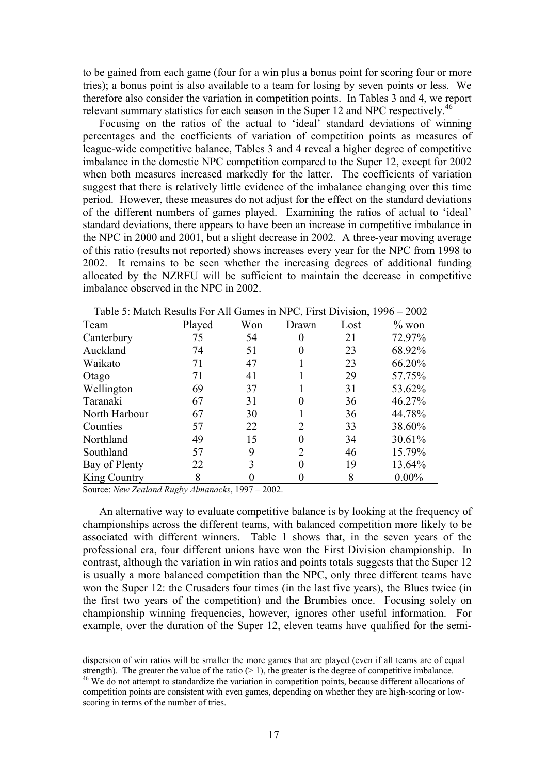to be gained from each game (four for a win plus a bonus point for scoring four or more tries); a bonus point is also available to a team for losing by seven points or less. We therefore also consider the variation in competition points. In Tables 3 and 4, we report relevant summary statistics for each season in the Super 12 and NPC respectively.<sup>[46](#page-17-0)</sup>

Focusing on the ratios of the actual to 'ideal' standard deviations of winning percentages and the coefficients of variation of competition points as measures of league-wide competitive balance, Tables 3 and 4 reveal a higher degree of competitive imbalance in the domestic NPC competition compared to the Super 12, except for 2002 when both measures increased markedly for the latter. The coefficients of variation suggest that there is relatively little evidence of the imbalance changing over this time period. However, these measures do not adjust for the effect on the standard deviations of the different numbers of games played. Examining the ratios of actual to 'ideal' standard deviations, there appears to have been an increase in competitive imbalance in the NPC in 2000 and 2001, but a slight decrease in 2002. A three-year moving average of this ratio (results not reported) shows increases every year for the NPC from 1998 to 2002. It remains to be seen whether the increasing degrees of additional funding allocated by the NZRFU will be sufficient to maintain the decrease in competitive imbalance observed in the NPC in 2002.

| Team          | Played | Won | Drawn | Lost | $\%$ won |
|---------------|--------|-----|-------|------|----------|
| Canterbury    | 75     | 54  |       | 21   | 72.97%   |
| Auckland      | 74     | 51  | 0     | 23   | 68.92%   |
| Waikato       | 71     | 47  |       | 23   | 66.20%   |
| Otago         | 71     | 41  |       | 29   | 57.75%   |
| Wellington    | 69     | 37  |       | 31   | 53.62%   |
| Taranaki      | 67     | 31  |       | 36   | 46.27%   |
| North Harbour | 67     | 30  |       | 36   | 44.78%   |
| Counties      | 57     | 22  | 2     | 33   | 38.60%   |
| Northland     | 49     | 15  |       | 34   | 30.61%   |
| Southland     | 57     | 9   | 2     | 46   | 15.79%   |
| Bay of Plenty | 22     | 3   |       | 19   | 13.64%   |
| King Country  | 8      |     |       | 8    | $0.00\%$ |

Table 5: Match Results For All Games in NPC, First Division, 1996 – 2002

Source: *New Zealand Rugby Almanacks*, 1997 – 2002.

An alternative way to evaluate competitive balance is by looking at the frequency of championships across the different teams, with balanced competition more likely to be associated with different winners. Table 1 shows that, in the seven years of the professional era, four different unions have won the First Division championship. In contrast, although the variation in win ratios and points totals suggests that the Super 12 is usually a more balanced competition than the NPC, only three different teams have won the Super 12: the Crusaders four times (in the last five years), the Blues twice (in the first two years of the competition) and the Brumbies once. Focusing solely on championship winning frequencies, however, ignores other useful information. For example, over the duration of the Super 12, eleven teams have qualified for the semi-

dispersion of win ratios will be smaller the more games that are played (even if all teams are of equal strength). The greater the value of the ratio ( $> 1$ ), the greater is the degree of competitive imbalance. <sup>46</sup> We do not attempt to standardize the variation in competition points, because different allocations of

<span id="page-17-0"></span>competition points are consistent with even games, depending on whether they are high-scoring or lowscoring in terms of the number of tries.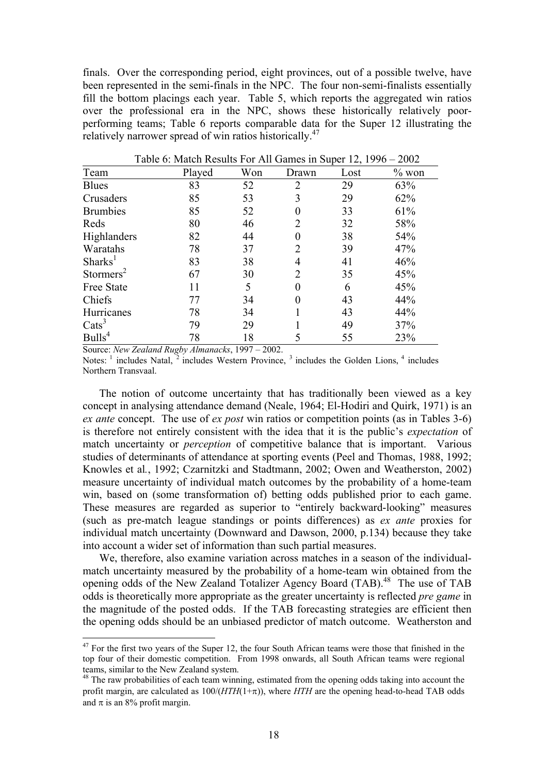finals. Over the corresponding period, eight provinces, out of a possible twelve, have been represented in the semi-finals in the NPC. The four non-semi-finalists essentially fill the bottom placings each year. Table 5, which reports the aggregated win ratios over the professional era in the NPC, shows these historically relatively poorperforming teams; Table 6 reports comparable data for the Super 12 illustrating the relatively narrower spread of win ratios historically.<sup>[47](#page-18-0)</sup>

| Played | Won | Drawn    | Lost | $\%$ won |
|--------|-----|----------|------|----------|
| 83     | 52  | 2        | 29   | 63%      |
| 85     | 53  | 3        | 29   | 62%      |
| 85     | 52  | 0        | 33   | 61%      |
| 80     | 46  | 2        | 32   | 58%      |
| 82     | 44  | 0        | 38   | 54%      |
| 78     | 37  | 2        | 39   | 47%      |
| 83     | 38  | 4        | 41   | 46%      |
| 67     | 30  | 2        | 35   | 45%      |
| 11     | 5   | $\theta$ | 6    | 45%      |
| 77     | 34  | 0        | 43   | 44%      |
| 78     | 34  |          | 43   | 44%      |
| 79     | 29  |          | 49   | 37%      |
| 78     | 18  |          | 55   | 23%      |
|        |     |          |      |          |

Table 6: Match Results For All Games in Super 12, 1996 – 2002

Source: *New Zealand Rugby Almanacks*, 1997 – 2002.

 $\overline{a}$ 

Notes:  $\frac{1}{2}$  includes Natal,  $\frac{3}{2}$  includes Western Province,  $\frac{3}{2}$  includes the Golden Lions,  $\frac{4}{2}$  includes Northern Transvaal.

The notion of outcome uncertainty that has traditionally been viewed as a key concept in analysing attendance demand (Neale, 1964; El-Hodiri and Quirk, 1971) is an *ex ante* concept. The use of *ex post* win ratios or competition points (as in Tables 3-6) is therefore not entirely consistent with the idea that it is the public's *expectation* of match uncertainty or *perception* of competitive balance that is important. Various studies of determinants of attendance at sporting events (Peel and Thomas, 1988, 1992; Knowles et al*.*, 1992; Czarnitzki and Stadtmann, 2002; Owen and Weatherston, 2002) measure uncertainty of individual match outcomes by the probability of a home-team win, based on (some transformation of) betting odds published prior to each game. These measures are regarded as superior to "entirely backward-looking" measures (such as pre-match league standings or points differences) as *ex ante* proxies for individual match uncertainty (Downward and Dawson, 2000, p.134) because they take into account a wider set of information than such partial measures.

We, therefore, also examine variation across matches in a season of the individualmatch uncertainty measured by the probability of a home-team win obtained from the opening odds of the New Zealand Totalizer Agency Board (TAB).[48](#page-18-1) The use of TAB odds is theoretically more appropriate as the greater uncertainty is reflected *pre game* in the magnitude of the posted odds. If the TAB forecasting strategies are efficient then the opening odds should be an unbiased predictor of match outcome. Weatherston and

<span id="page-18-0"></span> $47$  For the first two years of the Super 12, the four South African teams were those that finished in the top four of their domestic competition. From 1998 onwards, all South African teams were regional teams, similar to the New Zealand system.<br><sup>48</sup> The raw probabilities of each team winning, estimated from the opening odds taking into account the

<span id="page-18-1"></span>profit margin, are calculated as 100/(*HTH*(1+π)), where *HTH* are the opening head-to-head TAB odds and  $\pi$  is an 8% profit margin.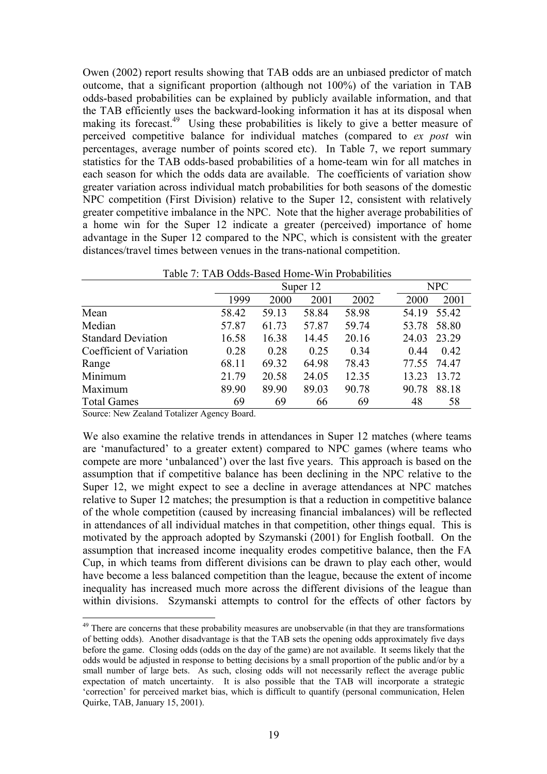Owen (2002) report results showing that TAB odds are an unbiased predictor of match outcome, that a significant proportion (although not 100%) of the variation in TAB odds-based probabilities can be explained by publicly available information, and that the TAB efficiently uses the backward-looking information it has at its disposal when making its forecast.<sup>49</sup> Using these probabilities is likely to give a better measure of perceived competitive balance for individual matches (compared to *ex post* win percentages, average number of points scored etc). In Table 7, we report summary statistics for the TAB odds-based probabilities of a home-team win for all matches in each season for which the odds data are available. The coefficients of variation show greater variation across individual match probabilities for both seasons of the domestic NPC competition (First Division) relative to the Super 12, consistent with relatively greater competitive imbalance in the NPC. Note that the higher average probabilities of a home win for the Super 12 indicate a greater (perceived) importance of home advantage in the Super 12 compared to the NPC, which is consistent with the greater distances/travel times between venues in the trans-national competition.

| Table 7. TAD Ouus-Based Home-Will Probabilities |       |          |       |       |       |             |  |
|-------------------------------------------------|-------|----------|-------|-------|-------|-------------|--|
|                                                 |       | Super 12 | NPC   |       |       |             |  |
|                                                 | 1999  | 2000     | 2001  | 2002  | 2000  | 2001        |  |
| Mean                                            | 58.42 | 59.13    | 58.84 | 58.98 | 54.19 | 55.42       |  |
| Median                                          | 57.87 | 61.73    | 57.87 | 59.74 | 53.78 | 58.80       |  |
| <b>Standard Deviation</b>                       | 16.58 | 16.38    | 14.45 | 20.16 | 24.03 | 23.29       |  |
| Coefficient of Variation                        | 0.28  | 0.28     | 0.25  | 0.34  | 0.44  | 0.42        |  |
| Range                                           | 68.11 | 69.32    | 64.98 | 78.43 |       | 77.55 74.47 |  |
| Minimum                                         | 21.79 | 20.58    | 24.05 | 12.35 | 13.23 | 13.72       |  |
| Maximum                                         | 89.90 | 89.90    | 89.03 | 90.78 | 90.78 | 88.18       |  |
| <b>Total Games</b>                              | 69    | 69       | 66    | 69    | 48    | 58          |  |

Table 7: TAB Odds-Based Home-Win Probabilities

Source: New Zealand Totalizer Agency Board.

 $\overline{a}$ 

We also examine the relative trends in attendances in Super 12 matches (where teams are 'manufactured' to a greater extent) compared to NPC games (where teams who compete are more 'unbalanced') over the last five years. This approach is based on the assumption that if competitive balance has been declining in the NPC relative to the Super 12, we might expect to see a decline in average attendances at NPC matches relative to Super 12 matches; the presumption is that a reduction in competitive balance of the whole competition (caused by increasing financial imbalances) will be reflected in attendances of all individual matches in that competition, other things equal. This is motivated by the approach adopted by Szymanski (2001) for English football. On the assumption that increased income inequality erodes competitive balance, then the FA Cup, in which teams from different divisions can be drawn to play each other, would have become a less balanced competition than the league, because the extent of income inequality has increased much more across the different divisions of the league than within divisions. Szymanski attempts to control for the effects of other factors by

<span id="page-19-0"></span><sup>&</sup>lt;sup>49</sup> There are concerns that these probability measures are unobservable (in that they are transformations of betting odds). Another disadvantage is that the TAB sets the opening odds approximately five days before the game. Closing odds (odds on the day of the game) are not available. It seems likely that the odds would be adjusted in response to betting decisions by a small proportion of the public and/or by a small number of large bets. As such, closing odds will not necessarily reflect the average public expectation of match uncertainty. It is also possible that the TAB will incorporate a strategic 'correction' for perceived market bias, which is difficult to quantify (personal communication, Helen Quirke, TAB, January 15, 2001).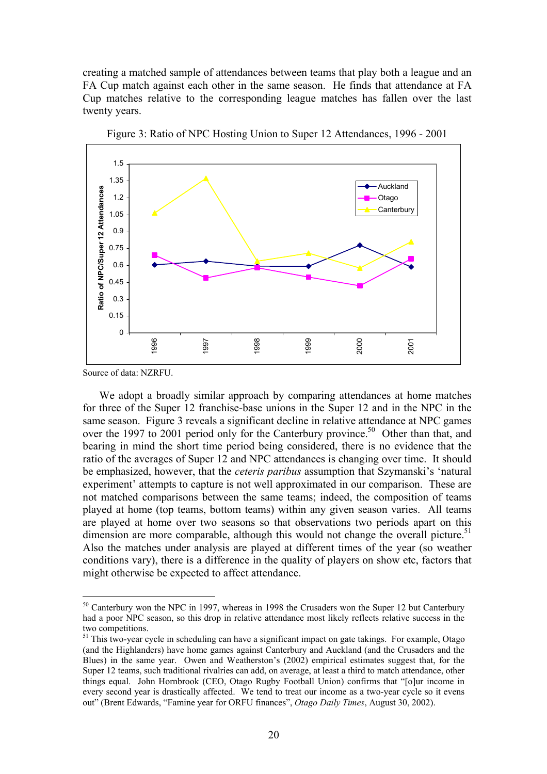creating a matched sample of attendances between teams that play both a league and an FA Cup match against each other in the same season. He finds that attendance at FA Cup matches relative to the corresponding league matches has fallen over the last twenty years.



Figure 3: Ratio of NPC Hosting Union to Super 12 Attendances, 1996 - 2001

Source of data: NZRFU.

 $\overline{a}$ 

We adopt a broadly similar approach by comparing attendances at home matches for three of the Super 12 franchise-base unions in the Super 12 and in the NPC in the same season. Figure 3 reveals a significant decline in relative attendance at NPC games over the 1997 to 2001 period only for the Canterbury province.<sup>[50](#page-20-0)</sup> Other than that, and bearing in mind the short time period being considered, there is no evidence that the ratio of the averages of Super 12 and NPC attendances is changing over time. It should be emphasized, however, that the *ceteris paribus* assumption that Szymanski's 'natural experiment' attempts to capture is not well approximated in our comparison. These are not matched comparisons between the same teams; indeed, the composition of teams played at home (top teams, bottom teams) within any given season varies. All teams are played at home over two seasons so that observations two periods apart on this dimension are more comparable, although this would not change the overall picture.<sup>51</sup> Also the matches under analysis are played at different times of the year (so weather conditions vary), there is a difference in the quality of players on show etc, factors that might otherwise be expected to affect attendance.

<span id="page-20-0"></span><sup>&</sup>lt;sup>50</sup> Canterbury won the NPC in 1997, whereas in 1998 the Crusaders won the Super 12 but Canterbury had a poor NPC season, so this drop in relative attendance most likely reflects relative success in the two competitions.<br><sup>51</sup> This two-year cycle in scheduling can have a significant impact on gate takings. For example, Otago

<span id="page-20-1"></span><sup>(</sup>and the Highlanders) have home games against Canterbury and Auckland (and the Crusaders and the Blues) in the same year. Owen and Weatherston's (2002) empirical estimates suggest that, for the Super 12 teams, such traditional rivalries can add, on average, at least a third to match attendance, other things equal. John Hornbrook (CEO, Otago Rugby Football Union) confirms that "[o]ur income in every second year is drastically affected. We tend to treat our income as a two-year cycle so it evens out" (Brent Edwards, "Famine year for ORFU finances", *Otago Daily Times*, August 30, 2002).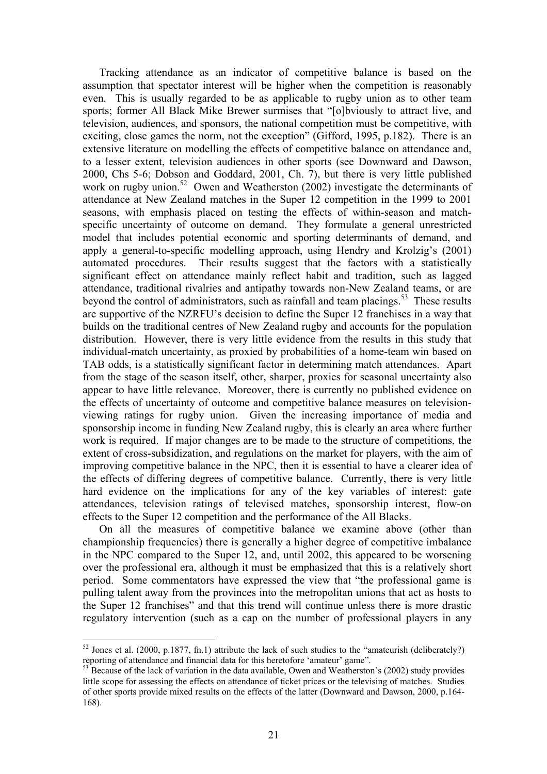Tracking attendance as an indicator of competitive balance is based on the assumption that spectator interest will be higher when the competition is reasonably even. This is usually regarded to be as applicable to rugby union as to other team sports; former All Black Mike Brewer surmises that "[o]bviously to attract live, and television, audiences, and sponsors, the national competition must be competitive, with exciting, close games the norm, not the exception" (Gifford, 1995, p.182). There is an extensive literature on modelling the effects of competitive balance on attendance and, to a lesser extent, television audiences in other sports (see Downward and Dawson, 2000, Chs 5-6; Dobson and Goddard, 2001, Ch. 7), but there is very little published work on rugby union.<sup>52</sup> Owen and Weatherston (2002) investigate the determinants of attendance at New Zealand matches in the Super 12 competition in the 1999 to 2001 seasons, with emphasis placed on testing the effects of within-season and matchspecific uncertainty of outcome on demand. They formulate a general unrestricted model that includes potential economic and sporting determinants of demand, and apply a general-to-specific modelling approach, using Hendry and Krolzig's (2001) automated procedures. Their results suggest that the factors with a statistically significant effect on attendance mainly reflect habit and tradition, such as lagged attendance, traditional rivalries and antipathy towards non-New Zealand teams, or are beyond the control of administrators, such as rainfall and team placings.<sup>53</sup> These results are supportive of the NZRFU's decision to define the Super 12 franchises in a way that builds on the traditional centres of New Zealand rugby and accounts for the population distribution. However, there is very little evidence from the results in this study that individual-match uncertainty, as proxied by probabilities of a home-team win based on TAB odds, is a statistically significant factor in determining match attendances. Apart from the stage of the season itself, other, sharper, proxies for seasonal uncertainty also appear to have little relevance. Moreover, there is currently no published evidence on the effects of uncertainty of outcome and competitive balance measures on televisionviewing ratings for rugby union. Given the increasing importance of media and sponsorship income in funding New Zealand rugby, this is clearly an area where further work is required. If major changes are to be made to the structure of competitions, the extent of cross-subsidization, and regulations on the market for players, with the aim of improving competitive balance in the NPC, then it is essential to have a clearer idea of the effects of differing degrees of competitive balance. Currently, there is very little hard evidence on the implications for any of the key variables of interest: gate attendances, television ratings of televised matches, sponsorship interest, flow-on effects to the Super 12 competition and the performance of the All Blacks.

On all the measures of competitive balance we examine above (other than championship frequencies) there is generally a higher degree of competitive imbalance in the NPC compared to the Super 12, and, until 2002, this appeared to be worsening over the professional era, although it must be emphasized that this is a relatively short period. Some commentators have expressed the view that "the professional game is pulling talent away from the provinces into the metropolitan unions that act as hosts to the Super 12 franchises" and that this trend will continue unless there is more drastic regulatory intervention (such as a cap on the number of professional players in any

<span id="page-21-0"></span> $52$  Jones et al. (2000, p.1877, fn.1) attribute the lack of such studies to the "amateurish (deliberately?) reporting of attendance and financial data for this heretofore 'amateur' game".

<span id="page-21-1"></span> $53$  Because of the lack of variation in the data available. Owen and Weatherston's (2002) study provides little scope for assessing the effects on attendance of ticket prices or the televising of matches. Studies of other sports provide mixed results on the effects of the latter (Downward and Dawson, 2000, p.164- 168).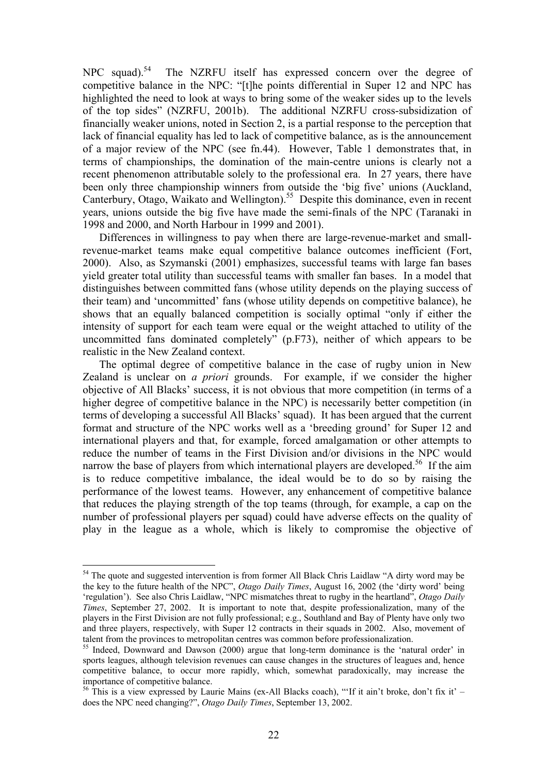NPC squad).<sup>54</sup> The NZRFU itself has expressed concern over the degree of competitive balance in the NPC: "[t]he points differential in Super 12 and NPC has highlighted the need to look at ways to bring some of the weaker sides up to the levels of the top sides" (NZRFU, 2001b). The additional NZRFU cross-subsidization of financially weaker unions, noted in Section 2, is a partial response to the perception that lack of financial equality has led to lack of competitive balance, as is the announcement of a major review of the NPC (see fn.44). However, Table 1 demonstrates that, in terms of championships, the domination of the main-centre unions is clearly not a recent phenomenon attributable solely to the professional era. In 27 years, there have been only three championship winners from outside the 'big five' unions (Auckland, Canterbury, Otago, Waikato and Wellington).<sup>55</sup> Despite this dominance, even in recent years, unions outside the big five have made the semi-finals of the NPC (Taranaki in 1998 and 2000, and North Harbour in 1999 and 2001).

Differences in willingness to pay when there are large-revenue-market and smallrevenue-market teams make equal competitive balance outcomes inefficient (Fort, 2000). Also, as Szymanski (2001) emphasizes, successful teams with large fan bases yield greater total utility than successful teams with smaller fan bases. In a model that distinguishes between committed fans (whose utility depends on the playing success of their team) and 'uncommitted' fans (whose utility depends on competitive balance), he shows that an equally balanced competition is socially optimal "only if either the intensity of support for each team were equal or the weight attached to utility of the uncommitted fans dominated completely" (p.F73), neither of which appears to be realistic in the New Zealand context.

The optimal degree of competitive balance in the case of rugby union in New Zealand is unclear on *a priori* grounds. For example, if we consider the higher objective of All Blacks' success, it is not obvious that more competition (in terms of a higher degree of competitive balance in the NPC) is necessarily better competition (in terms of developing a successful All Blacks' squad). It has been argued that the current format and structure of the NPC works well as a 'breeding ground' for Super 12 and international players and that, for example, forced amalgamation or other attempts to reduce the number of teams in the First Division and/or divisions in the NPC would narrow the base of players from which international players are developed.<sup>56</sup> If the aim is to reduce competitive imbalance, the ideal would be to do so by raising the performance of the lowest teams. However, any enhancement of competitive balance that reduces the playing strength of the top teams (through, for example, a cap on the number of professional players per squad) could have adverse effects on the quality of play in the league as a whole, which is likely to compromise the objective of

<span id="page-22-0"></span><sup>&</sup>lt;sup>54</sup> The quote and suggested intervention is from former All Black Chris Laidlaw "A dirty word may be the key to the future health of the NPC", *Otago Daily Times*, August 16, 2002 (the 'dirty word' being 'regulation'). See also Chris Laidlaw, "NPC mismatches threat to rugby in the heartland", *Otago Daily Times*, September 27, 2002. It is important to note that, despite professionalization, many of the players in the First Division are not fully professional; e.g., Southland and Bay of Plenty have only two and three players, respectively, with Super 12 contracts in their squads in 2002. Also, movement of talent from the provinces to metropolitan centres was common before professionalization.<br><sup>55</sup> Indeed, Downward and Dawson (2000) argue that long-term dominance is the 'natural order' in

<span id="page-22-1"></span>sports leagues, although television revenues can cause changes in the structures of leagues and, hence competitive balance, to occur more rapidly, which, somewhat paradoxically, may increase the importance of competitive balance.<br><sup>56</sup> This is a view expressed by Laurie Mains (ex-All Blacks coach), "'If it ain't broke, don't fix it' –

<span id="page-22-2"></span>does the NPC need changing?", *Otago Daily Times*, September 13, 2002.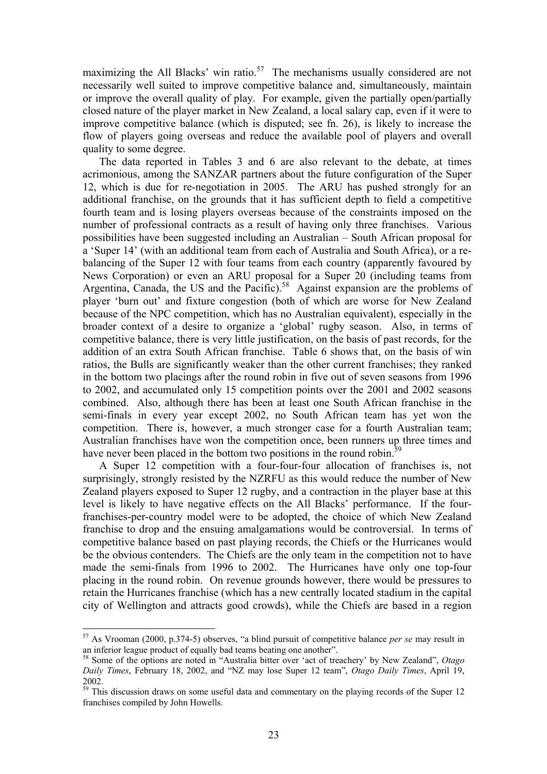maximizing the All Blacks' win ratio.<sup>57</sup> The mechanisms usually considered are not necessarily well suited to improve competitive balance and, simultaneously, maintain or improve the overall quality of play. For example, given the partially open/partially closed nature of the player market in New Zealand, a local salary cap, even if it were to improve competitive balance (which is disputed; see fn. 26), is likely to increase the flow of players going overseas and reduce the available pool of players and overall quality to some degree.

The data reported in Tables 3 and 6 are also relevant to the debate, at times acrimonious, among the SANZAR partners about the future configuration of the Super 12, which is due for re-negotiation in 2005. The ARU has pushed strongly for an additional franchise, on the grounds that it has sufficient depth to field a competitive fourth team and is losing players overseas because of the constraints imposed on the number of professional contracts as a result of having only three franchises. Various possibilities have been suggested including an Australian – South African proposal for a 'Super 14' (with an additional team from each of Australia and South Africa), or a rebalancing of the Super 12 with four teams from each country (apparently favoured by News Corporation) or even an ARU proposal for a Super 20 (including teams from Argentina, Canada, the US and the Pacific).<sup>58</sup> Against expansion are the problems of player 'burn out' and fixture congestion (both of which are worse for New Zealand because of the NPC competition, which has no Australian equivalent), especially in the broader context of a desire to organize a 'global' rugby season. Also, in terms of competitive balance, there is very little justification, on the basis of past records, for the addition of an extra South African franchise. Table 6 shows that, on the basis of win ratios, the Bulls are significantly weaker than the other current franchises; they ranked in the bottom two placings after the round robin in five out of seven seasons from 1996 to 2002, and accumulated only 15 competition points over the 2001 and 2002 seasons combined. Also, although there has been at least one South African franchise in the semi-finals in every year except 2002, no South African team has yet won the competition. There is, however, a much stronger case for a fourth Australian team; Australian franchises have won the competition once, been runners up three times and have never been placed in the bottom two positions in the round robin. $\dot{5}$ 

A Super 12 competition with a four-four-four allocation of franchises is, not surprisingly, strongly resisted by the NZRFU as this would reduce the number of New Zealand players exposed to Super 12 rugby, and a contraction in the player base at this level is likely to have negative effects on the All Blacks' performance. If the fourfranchises-per-country model were to be adopted, the choice of which New Zealand franchise to drop and the ensuing amalgamations would be controversial. In terms of competitive balance based on past playing records, the Chiefs or the Hurricanes would be the obvious contenders. The Chiefs are the only team in the competition not to have made the semi-finals from 1996 to 2002. The Hurricanes have only one top-four placing in the round robin. On revenue grounds however, there would be pressures to retain the Hurricanes franchise (which has a new centrally located stadium in the capital city of Wellington and attracts good crowds), while the Chiefs are based in a region

<span id="page-23-0"></span><sup>57</sup> As Vrooman (2000, p.374-5) observes, "a blind pursuit of competitive balance *per se* may result in

<span id="page-23-1"></span><sup>&</sup>lt;sup>58</sup> Some of the options are noted in "Australia bitter over 'act of treachery' by New Zealand", *Otago Daily Times*, February 18, 2002, and "NZ may lose Super 12 team", *Otago Daily Times*, April 19,

<span id="page-23-2"></span><sup>2002. 59</sup> This discussion draws on some useful data and commentary on the playing records of the Super 12 franchises compiled by John Howells.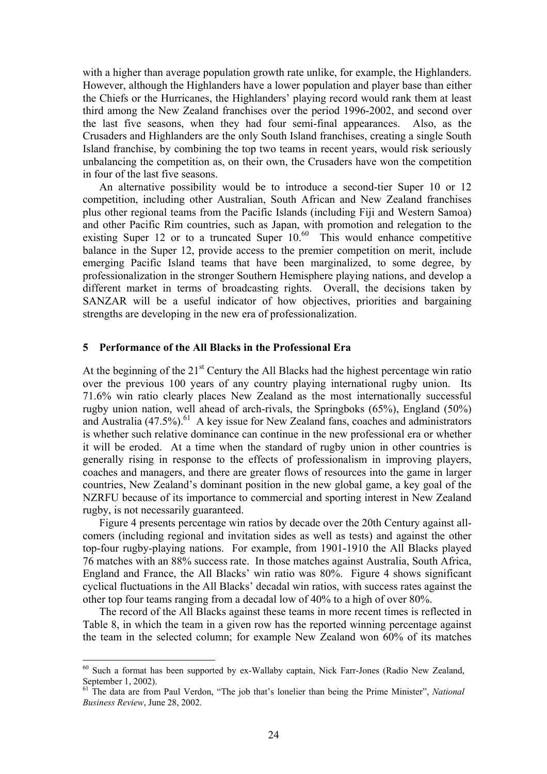with a higher than average population growth rate unlike, for example, the Highlanders. However, although the Highlanders have a lower population and player base than either the Chiefs or the Hurricanes, the Highlanders' playing record would rank them at least third among the New Zealand franchises over the period 1996-2002, and second over the last five seasons, when they had four semi-final appearances. Also, as the Crusaders and Highlanders are the only South Island franchises, creating a single South Island franchise, by combining the top two teams in recent years, would risk seriously unbalancing the competition as, on their own, the Crusaders have won the competition in four of the last five seasons.

An alternative possibility would be to introduce a second-tier Super 10 or 12 competition, including other Australian, South African and New Zealand franchises plus other regional teams from the Pacific Islands (including Fiji and Western Samoa) and other Pacific Rim countries, such as Japan, with promotion and relegation to the existing Super 12 or to a truncated Super  $10^{60}$  This would enhance competitive balance in the Super 12, provide access to the premier competition on merit, include emerging Pacific Island teams that have been marginalized, to some degree, by professionalization in the stronger Southern Hemisphere playing nations, and develop a different market in terms of broadcasting rights. Overall, the decisions taken by SANZAR will be a useful indicator of how objectives, priorities and bargaining strengths are developing in the new era of professionalization.

### **5 Performance of the All Blacks in the Professional Era**

At the beginning of the  $21<sup>st</sup>$  Century the All Blacks had the highest percentage win ratio over the previous 100 years of any country playing international rugby union. Its 71.6% win ratio clearly places New Zealand as the most internationally successful rugby union nation, well ahead of arch-rivals, the Springboks (65%), England (50%) and Australia  $(47.5\%)$ <sup>61</sup> A key issue for New Zealand fans, coaches and administrators is whether such relative dominance can continue in the new professional era or whether it will be eroded. At a time when the standard of rugby union in other countries is generally rising in response to the effects of professionalism in improving players, coaches and managers, and there are greater flows of resources into the game in larger countries, New Zealand's dominant position in the new global game, a key goal of the NZRFU because of its importance to commercial and sporting interest in New Zealand rugby, is not necessarily guaranteed.

Figure 4 presents percentage win ratios by decade over the 20th Century against allcomers (including regional and invitation sides as well as tests) and against the other top-four rugby-playing nations. For example, from 1901-1910 the All Blacks played 76 matches with an 88% success rate. In those matches against Australia, South Africa, England and France, the All Blacks' win ratio was 80%. Figure 4 shows significant cyclical fluctuations in the All Blacks' decadal win ratios, with success rates against the other top four teams ranging from a decadal low of 40% to a high of over 80%.

The record of the All Blacks against these teams in more recent times is reflected in Table 8, in which the team in a given row has the reported winning percentage against the team in the selected column; for example New Zealand won 60% of its matches

<span id="page-24-0"></span><sup>&</sup>lt;sup>60</sup> Such a format has been supported by ex-Wallaby captain, Nick Farr-Jones (Radio New Zealand,

<span id="page-24-1"></span>September 1, 2002).<br><sup>61</sup> The data are from Paul Verdon, "The job that's lonelier than being the Prime Minister", *National Business Review*, June 28, 2002.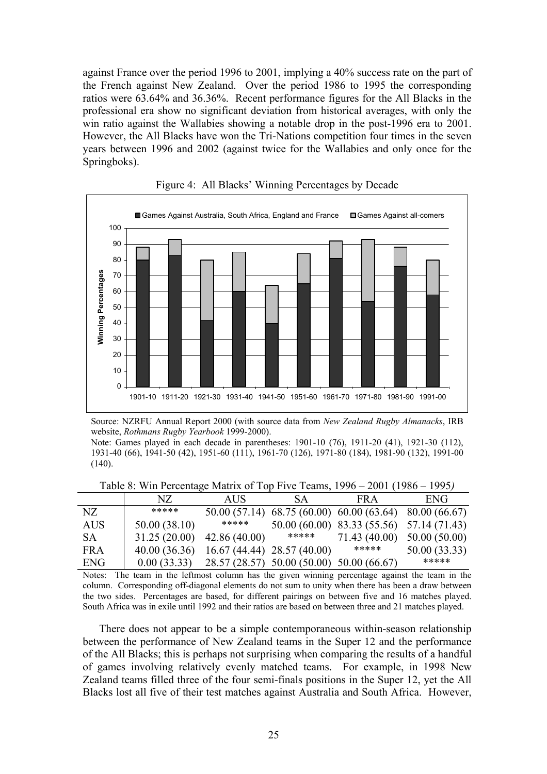against France over the period 1996 to 2001, implying a 40% success rate on the part of the French against New Zealand. Over the period 1986 to 1995 the corresponding ratios were 63.64% and 36.36%. Recent performance figures for the All Blacks in the professional era show no significant deviation from historical averages, with only the win ratio against the Wallabies showing a notable drop in the post-1996 era to 2001. However, the All Blacks have won the Tri-Nations competition four times in the seven years between 1996 and 2002 (against twice for the Wallabies and only once for the Springboks).



Figure 4: All Blacks' Winning Percentages by Decade

Table 8: Win Percentage Matrix of Top Five Teams, 1996 – 2001 (1986 – 1995*)* 

|            | NZ.          | <b>AUS</b>    | <b>SA</b>                    | FR A                                      | ENG           |
|------------|--------------|---------------|------------------------------|-------------------------------------------|---------------|
| NZ         | *****        |               |                              | 50.00 (57.14) 68.75 (60.00) 60.00 (63.64) | 80.00 (66.67) |
| AUS        | 50.00(38.10) | *****         |                              | 50.00 (60.00) 83.33 (55.56) 57.14 (71.43) |               |
| <b>SA</b>  | 31.25(20.00) | 42.86(40.00)  | *****                        | 71.43 (40.00)                             | 50.00(50.00)  |
| <b>FRA</b> | 40.00(36.36) |               | $16.67(44.44)$ 28.57 (40.00) | *****                                     | 50.00(33.33)  |
| ENG        | 0.00(33.33)  | 28.57 (28.57) | 50.00(50.00)                 | 50.00 (66.67)                             | *****         |

Notes: The team in the leftmost column has the given winning percentage against the team in the column. Corresponding off-diagonal elements do not sum to unity when there has been a draw between the two sides. Percentages are based, for different pairings on between five and 16 matches played. South Africa was in exile until 1992 and their ratios are based on between three and 21 matches played.

There does not appear to be a simple contemporaneous within-season relationship between the performance of New Zealand teams in the Super 12 and the performance of the All Blacks; this is perhaps not surprising when comparing the results of a handful of games involving relatively evenly matched teams. For example, in 1998 New Zealand teams filled three of the four semi-finals positions in the Super 12, yet the All Blacks lost all five of their test matches against Australia and South Africa. However,

Source: NZRFU Annual Report 2000 (with source data from *New Zealand Rugby Almanacks*, IRB website, *Rothmans Rugby Yearbook* 1999-2000).

Note: Games played in each decade in parentheses: 1901-10 (76), 1911-20 (41), 1921-30 (112), 1931-40 (66), 1941-50 (42), 1951-60 (111), 1961-70 (126), 1971-80 (184), 1981-90 (132), 1991-00  $(140)$ .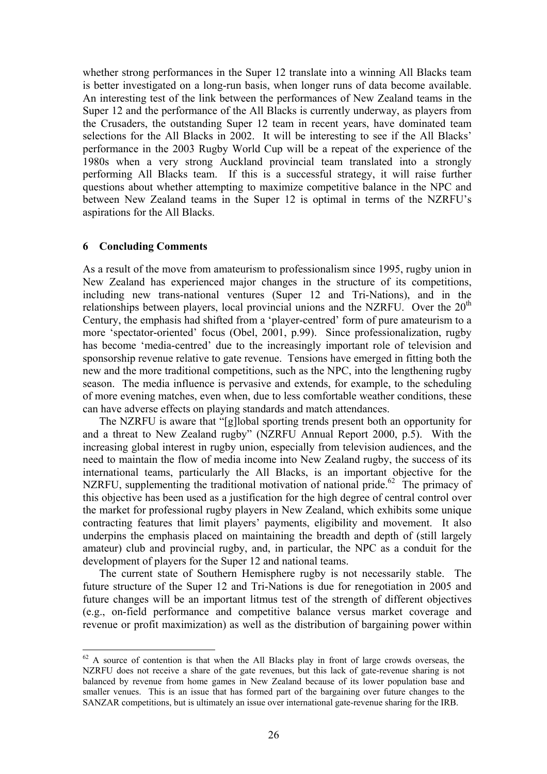whether strong performances in the Super 12 translate into a winning All Blacks team is better investigated on a long-run basis, when longer runs of data become available. An interesting test of the link between the performances of New Zealand teams in the Super 12 and the performance of the All Blacks is currently underway, as players from the Crusaders, the outstanding Super 12 team in recent years, have dominated team selections for the All Blacks in 2002. It will be interesting to see if the All Blacks' performance in the 2003 Rugby World Cup will be a repeat of the experience of the 1980s when a very strong Auckland provincial team translated into a strongly performing All Blacks team. If this is a successful strategy, it will raise further questions about whether attempting to maximize competitive balance in the NPC and between New Zealand teams in the Super 12 is optimal in terms of the NZRFU's aspirations for the All Blacks.

## **6 Concluding Comments**

 $\overline{a}$ 

As a result of the move from amateurism to professionalism since 1995, rugby union in New Zealand has experienced major changes in the structure of its competitions, including new trans-national ventures (Super 12 and Tri-Nations), and in the relationships between players, local provincial unions and the NZRFU. Over the  $20<sup>th</sup>$ Century, the emphasis had shifted from a 'player-centred' form of pure amateurism to a more 'spectator-oriented' focus (Obel, 2001, p.99). Since professionalization, rugby has become 'media-centred' due to the increasingly important role of television and sponsorship revenue relative to gate revenue. Tensions have emerged in fitting both the new and the more traditional competitions, such as the NPC, into the lengthening rugby season. The media influence is pervasive and extends, for example, to the scheduling of more evening matches, even when, due to less comfortable weather conditions, these can have adverse effects on playing standards and match attendances.

The NZRFU is aware that "[g]lobal sporting trends present both an opportunity for and a threat to New Zealand rugby" (NZRFU Annual Report 2000, p.5). With the increasing global interest in rugby union, especially from television audiences, and the need to maintain the flow of media income into New Zealand rugby, the success of its international teams, particularly the All Blacks, is an important objective for the NZRFU, supplementing the traditional motivation of national pride.<sup>62</sup> The primacy of this objective has been used as a justification for the high degree of central control over the market for professional rugby players in New Zealand, which exhibits some unique contracting features that limit players' payments, eligibility and movement. It also underpins the emphasis placed on maintaining the breadth and depth of (still largely amateur) club and provincial rugby, and, in particular, the NPC as a conduit for the development of players for the Super 12 and national teams.

The current state of Southern Hemisphere rugby is not necessarily stable. The future structure of the Super 12 and Tri-Nations is due for renegotiation in 2005 and future changes will be an important litmus test of the strength of different objectives (e.g., on-field performance and competitive balance versus market coverage and revenue or profit maximization) as well as the distribution of bargaining power within

<span id="page-26-0"></span> $62$  A source of contention is that when the All Blacks play in front of large crowds overseas, the NZRFU does not receive a share of the gate revenues, but this lack of gate-revenue sharing is not balanced by revenue from home games in New Zealand because of its lower population base and smaller venues. This is an issue that has formed part of the bargaining over future changes to the SANZAR competitions, but is ultimately an issue over international gate-revenue sharing for the IRB.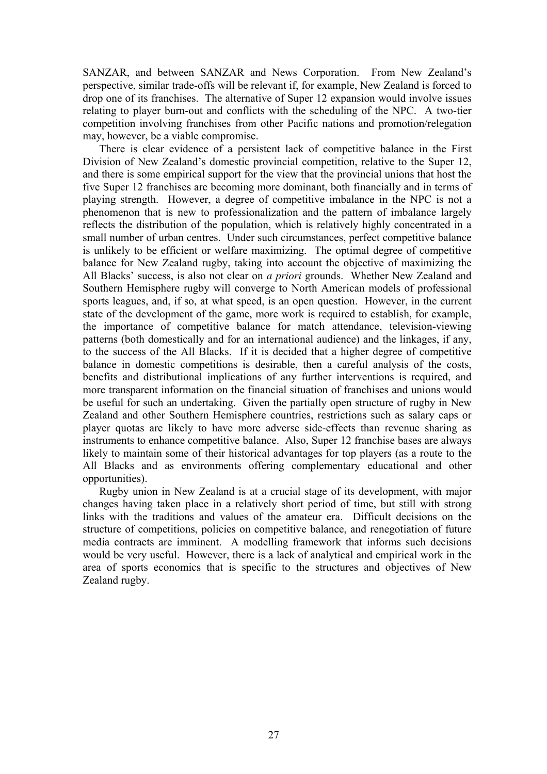SANZAR, and between SANZAR and News Corporation. From New Zealand's perspective, similar trade-offs will be relevant if, for example, New Zealand is forced to drop one of its franchises. The alternative of Super 12 expansion would involve issues relating to player burn-out and conflicts with the scheduling of the NPC. A two-tier competition involving franchises from other Pacific nations and promotion/relegation may, however, be a viable compromise.

There is clear evidence of a persistent lack of competitive balance in the First Division of New Zealand's domestic provincial competition, relative to the Super 12, and there is some empirical support for the view that the provincial unions that host the five Super 12 franchises are becoming more dominant, both financially and in terms of playing strength. However, a degree of competitive imbalance in the NPC is not a phenomenon that is new to professionalization and the pattern of imbalance largely reflects the distribution of the population, which is relatively highly concentrated in a small number of urban centres. Under such circumstances, perfect competitive balance is unlikely to be efficient or welfare maximizing. The optimal degree of competitive balance for New Zealand rugby, taking into account the objective of maximizing the All Blacks' success, is also not clear on *a priori* grounds. Whether New Zealand and Southern Hemisphere rugby will converge to North American models of professional sports leagues, and, if so, at what speed, is an open question. However, in the current state of the development of the game, more work is required to establish, for example, the importance of competitive balance for match attendance, television-viewing patterns (both domestically and for an international audience) and the linkages, if any, to the success of the All Blacks. If it is decided that a higher degree of competitive balance in domestic competitions is desirable, then a careful analysis of the costs, benefits and distributional implications of any further interventions is required, and more transparent information on the financial situation of franchises and unions would be useful for such an undertaking. Given the partially open structure of rugby in New Zealand and other Southern Hemisphere countries, restrictions such as salary caps or player quotas are likely to have more adverse side-effects than revenue sharing as instruments to enhance competitive balance. Also, Super 12 franchise bases are always likely to maintain some of their historical advantages for top players (as a route to the All Blacks and as environments offering complementary educational and other opportunities).

Rugby union in New Zealand is at a crucial stage of its development, with major changes having taken place in a relatively short period of time, but still with strong links with the traditions and values of the amateur era. Difficult decisions on the structure of competitions, policies on competitive balance, and renegotiation of future media contracts are imminent. A modelling framework that informs such decisions would be very useful. However, there is a lack of analytical and empirical work in the area of sports economics that is specific to the structures and objectives of New Zealand rugby.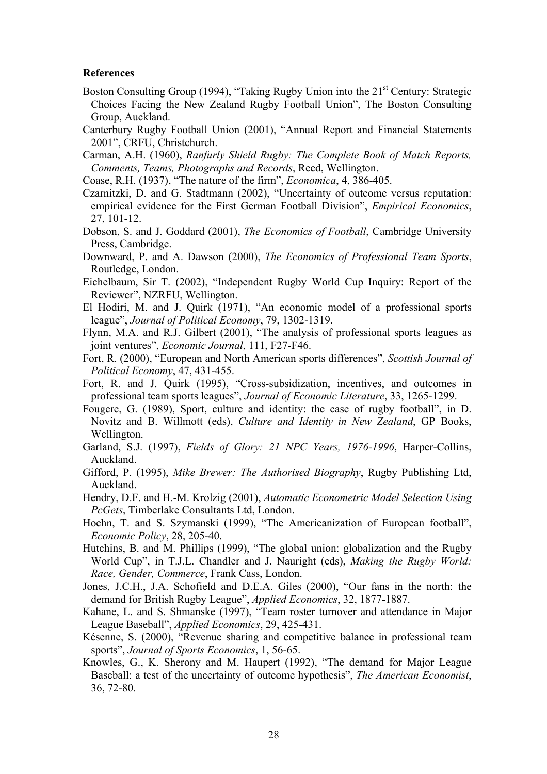## **References**

- Boston Consulting Group (1994), "Taking Rugby Union into the  $21<sup>st</sup>$  Century: Strategic Choices Facing the New Zealand Rugby Football Union", The Boston Consulting Group, Auckland.
- Canterbury Rugby Football Union (2001), "Annual Report and Financial Statements 2001", CRFU, Christchurch.
- Carman, A.H. (1960), *Ranfurly Shield Rugby: The Complete Book of Match Reports, Comments, Teams, Photographs and Records*, Reed, Wellington.
- Coase, R.H. (1937), "The nature of the firm", *Economica*, 4, 386-405.
- Czarnitzki, D. and G. Stadtmann (2002), "Uncertainty of outcome versus reputation: empirical evidence for the First German Football Division", *Empirical Economics*, 27, 101-12.
- Dobson, S. and J. Goddard (2001), *The Economics of Football*, Cambridge University Press, Cambridge.
- Downward, P. and A. Dawson (2000), *The Economics of Professional Team Sports*, Routledge, London.
- Eichelbaum, Sir T. (2002), "Independent Rugby World Cup Inquiry: Report of the Reviewer", NZRFU, Wellington.
- El Hodiri, M. and J. Quirk (1971), "An economic model of a professional sports league", *Journal of Political Economy*, 79, 1302-1319.
- Flynn, M.A. and R.J. Gilbert (2001), "The analysis of professional sports leagues as joint ventures", *Economic Journal*, 111, F27-F46.
- Fort, R. (2000), "European and North American sports differences", *Scottish Journal of Political Economy*, 47, 431-455.
- Fort, R. and J. Quirk (1995), "Cross-subsidization, incentives, and outcomes in professional team sports leagues", *Journal of Economic Literature*, 33, 1265-1299.
- Fougere, G. (1989), Sport, culture and identity: the case of rugby football", in D. Novitz and B. Willmott (eds), *Culture and Identity in New Zealand*, GP Books, Wellington.
- Garland, S.J. (1997), *Fields of Glory: 21 NPC Years, 1976-1996*, Harper-Collins, Auckland.
- Gifford, P. (1995), *Mike Brewer: The Authorised Biography*, Rugby Publishing Ltd, Auckland.
- Hendry, D.F. and H.-M. Krolzig (2001), *Automatic Econometric Model Selection Using PcGets*, Timberlake Consultants Ltd, London.
- Hoehn, T. and S. Szymanski (1999), "The Americanization of European football", *Economic Policy*, 28, 205-40.
- Hutchins, B. and M. Phillips (1999), "The global union: globalization and the Rugby World Cup", in T.J.L. Chandler and J. Nauright (eds), *Making the Rugby World: Race, Gender, Commerce*, Frank Cass, London.
- Jones, J.C.H., J.A. Schofield and D.E.A. Giles (2000), "Our fans in the north: the demand for British Rugby League", *Applied Economics*, 32, 1877-1887.
- Kahane, L. and S. Shmanske (1997), "Team roster turnover and attendance in Major League Baseball", *Applied Economics*, 29, 425-431.
- Késenne, S. (2000), "Revenue sharing and competitive balance in professional team sports", *Journal of Sports Economics*, 1, 56-65.
- Knowles, G., K. Sherony and M. Haupert (1992), "The demand for Major League Baseball: a test of the uncertainty of outcome hypothesis", *The American Economist*, 36, 72-80.